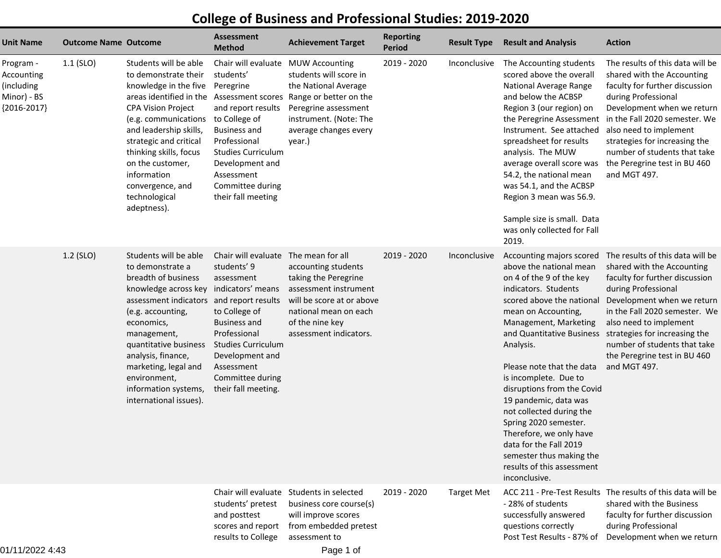## **College of Business and Professional Studies: 2019-2020**

| <b>Unit Name</b>                                                      | <b>Outcome Name Outcome</b> |                                                                                                                                                                                                                                                                                                                                                   | <b>Assessment</b><br><b>Method</b>                                                                                                                                                                                                  | <b>Achievement Target</b>                                                                                                                                                                   | <b>Reporting</b><br><b>Period</b> | <b>Result Type</b> | <b>Result and Analysis</b>                                                                                                                                                                                                                                                                                                                                                                                                                                                                          | <b>Action</b>                                                                                                                                                                                                                                                                                                                                               |
|-----------------------------------------------------------------------|-----------------------------|---------------------------------------------------------------------------------------------------------------------------------------------------------------------------------------------------------------------------------------------------------------------------------------------------------------------------------------------------|-------------------------------------------------------------------------------------------------------------------------------------------------------------------------------------------------------------------------------------|---------------------------------------------------------------------------------------------------------------------------------------------------------------------------------------------|-----------------------------------|--------------------|-----------------------------------------------------------------------------------------------------------------------------------------------------------------------------------------------------------------------------------------------------------------------------------------------------------------------------------------------------------------------------------------------------------------------------------------------------------------------------------------------------|-------------------------------------------------------------------------------------------------------------------------------------------------------------------------------------------------------------------------------------------------------------------------------------------------------------------------------------------------------------|
| Program -<br>Accounting<br>(including<br>Minor) - BS<br>${2016-2017}$ | $1.1$ (SLO)                 | Students will be able<br>to demonstrate their<br>knowledge in the five<br>areas identified in the Assessment scores<br><b>CPA Vision Project</b><br>(e.g. communications<br>and leadership skills,<br>strategic and critical<br>thinking skills, focus<br>on the customer,<br>information<br>convergence, and<br>technological<br>adeptness).     | Chair will evaluate<br>students'<br>Peregrine<br>and report results<br>to College of<br><b>Business and</b><br>Professional<br><b>Studies Curriculum</b><br>Development and<br>Assessment<br>Committee during<br>their fall meeting | <b>MUW Accounting</b><br>students will score in<br>the National Average<br>Range or better on the<br>Peregrine assessment<br>instrument. (Note: The<br>average changes every<br>year.)      | 2019 - 2020                       | Inconclusive       | The Accounting students<br>scored above the overall<br>National Average Range<br>and below the ACBSP<br>Region 3 (our region) on<br>the Peregrine Assessment<br>Instrument. See attached<br>spreadsheet for results<br>analysis. The MUW<br>average overall score was<br>54.2, the national mean<br>was 54.1, and the ACBSP<br>Region 3 mean was 56.9.<br>Sample size is small. Data<br>was only collected for Fall<br>2019.                                                                        | The results of this data will be<br>shared with the Accounting<br>faculty for further discussion<br>during Professional<br>Development when we return<br>in the Fall 2020 semester. We<br>also need to implement<br>strategies for increasing the<br>number of students that take<br>the Peregrine test in BU 460<br>and MGT 497.                           |
|                                                                       | 1.2 (SLO)                   | Students will be able<br>to demonstrate a<br>breadth of business<br>knowledge across key indicators' means<br>assessment indicators and report results<br>(e.g. accounting,<br>economics,<br>management,<br>quantitative business<br>analysis, finance,<br>marketing, legal and<br>environment,<br>information systems,<br>international issues). | Chair will evaluate<br>students' 9<br>assessment<br>to College of<br><b>Business and</b><br>Professional<br><b>Studies Curriculum</b><br>Development and<br>Assessment<br>Committee during<br>their fall meeting.                   | The mean for all<br>accounting students<br>taking the Peregrine<br>assessment instrument<br>will be score at or above<br>national mean on each<br>of the nine key<br>assessment indicators. | 2019 - 2020                       | Inconclusive       | Accounting majors scored<br>above the national mean<br>on 4 of the 9 of the key<br>indicators. Students<br>scored above the national<br>mean on Accounting,<br>Management, Marketing<br>Analysis.<br>Please note that the data<br>is incomplete. Due to<br>disruptions from the Covid<br>19 pandemic, data was<br>not collected during the<br>Spring 2020 semester.<br>Therefore, we only have<br>data for the Fall 2019<br>semester thus making the<br>results of this assessment<br>inconclusive. | The results of this data will be<br>shared with the Accounting<br>faculty for further discussion<br>during Professional<br>Development when we return<br>in the Fall 2020 semester. We<br>also need to implement<br>and Quantitative Business strategies for increasing the<br>number of students that take<br>the Peregrine test in BU 460<br>and MGT 497. |
|                                                                       |                             |                                                                                                                                                                                                                                                                                                                                                   | students' pretest<br>and posttest<br>scores and report<br>results to College                                                                                                                                                        | Chair will evaluate Students in selected<br>business core course(s)<br>will improve scores<br>from embedded pretest<br>assessment to                                                        | 2019 - 2020                       | <b>Target Met</b>  | - 28% of students<br>successfully answered<br>questions correctly<br>Post Test Results - 87% of                                                                                                                                                                                                                                                                                                                                                                                                     | ACC 211 - Pre-Test Results The results of this data will be<br>shared with the Business<br>faculty for further discussion<br>during Professional<br>Development when we return                                                                                                                                                                              |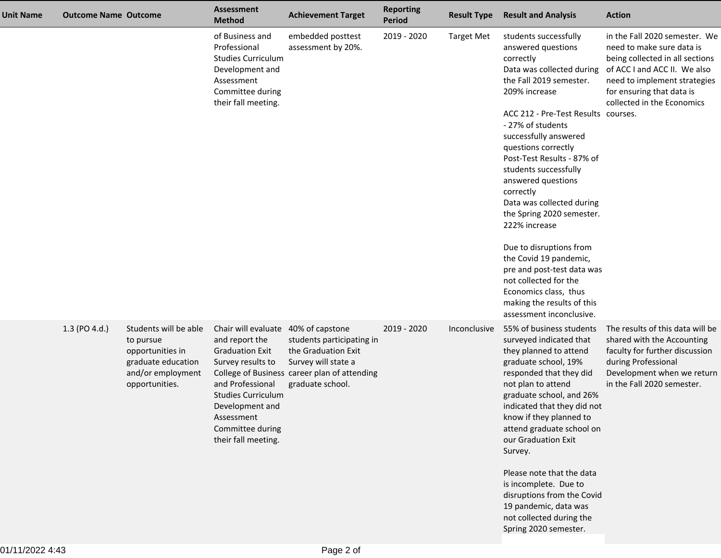| <b>Unit Name</b> | <b>Outcome Name Outcome</b> |                                                                                                                     | <b>Assessment</b><br><b>Method</b>                                                                                                                                                                                                | <b>Achievement Target</b>                                                                                                                   | <b>Reporting</b><br><b>Period</b> | <b>Result Type</b> | <b>Result and Analysis</b>                                                                                                                                                                                                                                                                                                                                                                                                                                                                                                                                                                                        | <b>Action</b>                                                                                                                                                                                                            |
|------------------|-----------------------------|---------------------------------------------------------------------------------------------------------------------|-----------------------------------------------------------------------------------------------------------------------------------------------------------------------------------------------------------------------------------|---------------------------------------------------------------------------------------------------------------------------------------------|-----------------------------------|--------------------|-------------------------------------------------------------------------------------------------------------------------------------------------------------------------------------------------------------------------------------------------------------------------------------------------------------------------------------------------------------------------------------------------------------------------------------------------------------------------------------------------------------------------------------------------------------------------------------------------------------------|--------------------------------------------------------------------------------------------------------------------------------------------------------------------------------------------------------------------------|
|                  |                             |                                                                                                                     | of Business and<br>Professional<br><b>Studies Curriculum</b><br>Development and<br>Assessment<br>Committee during<br>their fall meeting.                                                                                          | embedded posttest<br>assessment by 20%.                                                                                                     | 2019 - 2020                       | <b>Target Met</b>  | students successfully<br>answered questions<br>correctly<br>Data was collected during<br>the Fall 2019 semester.<br>209% increase<br>ACC 212 - Pre-Test Results courses.<br>- 27% of students<br>successfully answered<br>questions correctly<br>Post-Test Results - 87% of<br>students successfully<br>answered questions<br>correctly<br>Data was collected during<br>the Spring 2020 semester.<br>222% increase<br>Due to disruptions from<br>the Covid 19 pandemic,<br>pre and post-test data was<br>not collected for the<br>Economics class, thus<br>making the results of this<br>assessment inconclusive. | in the Fall 2020 semester. We<br>need to make sure data is<br>being collected in all sections<br>of ACC I and ACC II. We also<br>need to implement strategies<br>for ensuring that data is<br>collected in the Economics |
|                  | 1.3 (PO 4.d.)               | Students will be able<br>to pursue<br>opportunities in<br>graduate education<br>and/or employment<br>opportunities. | Chair will evaluate 40% of capstone<br>and report the<br><b>Graduation Exit</b><br>Survey results to<br>and Professional<br><b>Studies Curriculum</b><br>Development and<br>Assessment<br>Committee during<br>their fall meeting. | students participating in<br>the Graduation Exit<br>Survey will state a<br>College of Business career plan of attending<br>graduate school. | 2019 - 2020                       | Inconclusive       | 55% of business students<br>surveyed indicated that<br>they planned to attend<br>graduate school, 19%<br>responded that they did<br>not plan to attend<br>graduate school, and 26%<br>indicated that they did not<br>know if they planned to<br>attend graduate school on<br>our Graduation Exit<br>Survey.<br>Please note that the data<br>is incomplete. Due to<br>disruptions from the Covid<br>19 pandemic, data was<br>not collected during the<br>Spring 2020 semester.                                                                                                                                     | The results of this data will be<br>shared with the Accounting<br>faculty for further discussion<br>during Professional<br>Development when we return<br>in the Fall 2020 semester.                                      |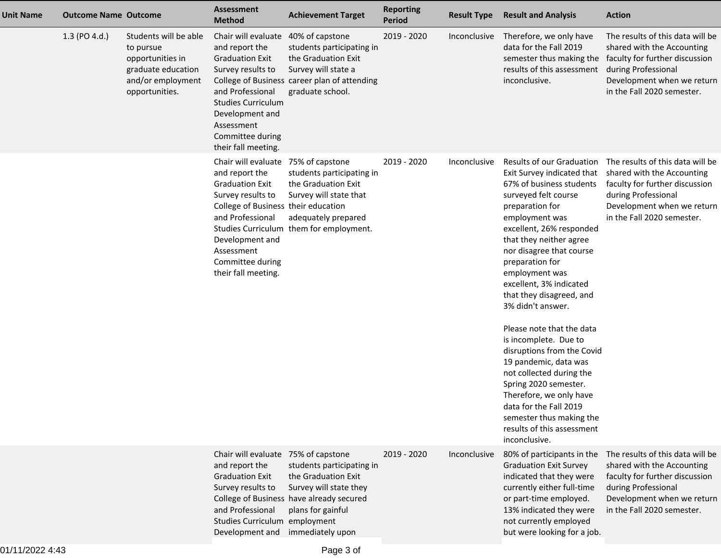| <b>Unit Name</b> | <b>Outcome Name Outcome</b> |                                                                                                                     | <b>Assessment</b><br><b>Method</b>                                                                                                                                                                                                          | <b>Achievement Target</b>                                                                                                                                       | <b>Reporting</b><br><b>Period</b> | <b>Result Type</b> | <b>Result and Analysis</b>                                                                                                                                                                                                                                                                                                                                                                                                                                                                                                                                                                                               | <b>Action</b>                                                                                                                                                                                                  |
|------------------|-----------------------------|---------------------------------------------------------------------------------------------------------------------|---------------------------------------------------------------------------------------------------------------------------------------------------------------------------------------------------------------------------------------------|-----------------------------------------------------------------------------------------------------------------------------------------------------------------|-----------------------------------|--------------------|--------------------------------------------------------------------------------------------------------------------------------------------------------------------------------------------------------------------------------------------------------------------------------------------------------------------------------------------------------------------------------------------------------------------------------------------------------------------------------------------------------------------------------------------------------------------------------------------------------------------------|----------------------------------------------------------------------------------------------------------------------------------------------------------------------------------------------------------------|
|                  | 1.3 (PO 4.d.)               | Students will be able<br>to pursue<br>opportunities in<br>graduate education<br>and/or employment<br>opportunities. | Chair will evaluate 40% of capstone<br>and report the<br><b>Graduation Exit</b><br>Survey results to<br>and Professional<br><b>Studies Curriculum</b><br>Development and<br>Assessment<br>Committee during<br>their fall meeting.           | students participating in<br>the Graduation Exit<br>Survey will state a<br>College of Business career plan of attending<br>graduate school.                     | 2019 - 2020                       | Inconclusive       | Therefore, we only have<br>data for the Fall 2019<br>results of this assessment<br>inconclusive.                                                                                                                                                                                                                                                                                                                                                                                                                                                                                                                         | The results of this data will be<br>shared with the Accounting<br>semester thus making the faculty for further discussion<br>during Professional<br>Development when we return<br>in the Fall 2020 semester.   |
|                  |                             |                                                                                                                     | Chair will evaluate 75% of capstone<br>and report the<br><b>Graduation Exit</b><br>Survey results to<br>College of Business their education<br>and Professional<br>Development and<br>Assessment<br>Committee during<br>their fall meeting. | students participating in<br>the Graduation Exit<br>Survey will state that<br>adequately prepared<br>Studies Curriculum them for employment.                    | 2019 - 2020                       | Inconclusive       | Results of our Graduation<br>67% of business students<br>surveyed felt course<br>preparation for<br>employment was<br>excellent, 26% responded<br>that they neither agree<br>nor disagree that course<br>preparation for<br>employment was<br>excellent, 3% indicated<br>that they disagreed, and<br>3% didn't answer.<br>Please note that the data<br>is incomplete. Due to<br>disruptions from the Covid<br>19 pandemic, data was<br>not collected during the<br>Spring 2020 semester.<br>Therefore, we only have<br>data for the Fall 2019<br>semester thus making the<br>results of this assessment<br>inconclusive. | The results of this data will be<br>Exit Survey indicated that shared with the Accounting<br>faculty for further discussion<br>during Professional<br>Development when we return<br>in the Fall 2020 semester. |
|                  |                             |                                                                                                                     | Chair will evaluate 75% of capstone<br>and report the<br><b>Graduation Exit</b><br>Survey results to<br>and Professional<br>Studies Curriculum employment<br>Development and                                                                | students participating in<br>the Graduation Exit<br>Survey will state they<br>College of Business have already secured<br>plans for gainful<br>immediately upon | 2019 - 2020                       | Inconclusive       | 80% of participants in the<br><b>Graduation Exit Survey</b><br>indicated that they were<br>currently either full-time<br>or part-time employed.<br>13% indicated they were<br>not currently employed<br>but were looking for a job.                                                                                                                                                                                                                                                                                                                                                                                      | The results of this data will be<br>shared with the Accounting<br>faculty for further discussion<br>during Professional<br>Development when we return<br>in the Fall 2020 semester.                            |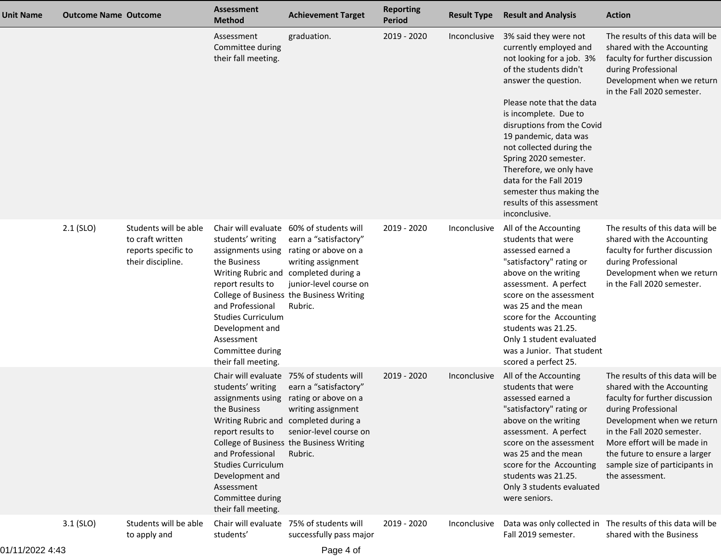| Unit Name | <b>Outcome Name Outcome</b> |                                                                                       | <b>Assessment</b><br><b>Method</b>                                                                                                                                                                       | <b>Achievement Target</b>                                                                                                                                                                                                                                   | <b>Reporting</b><br><b>Period</b> | <b>Result Type</b> | <b>Result and Analysis</b>                                                                                                                                                                                                                                                                                                           | <b>Action</b>                                                                                                                                                                                                                                                                                            |
|-----------|-----------------------------|---------------------------------------------------------------------------------------|----------------------------------------------------------------------------------------------------------------------------------------------------------------------------------------------------------|-------------------------------------------------------------------------------------------------------------------------------------------------------------------------------------------------------------------------------------------------------------|-----------------------------------|--------------------|--------------------------------------------------------------------------------------------------------------------------------------------------------------------------------------------------------------------------------------------------------------------------------------------------------------------------------------|----------------------------------------------------------------------------------------------------------------------------------------------------------------------------------------------------------------------------------------------------------------------------------------------------------|
|           |                             |                                                                                       | Assessment<br>Committee during<br>their fall meeting.                                                                                                                                                    | graduation.                                                                                                                                                                                                                                                 | 2019 - 2020                       | Inconclusive       | 3% said they were not<br>currently employed and<br>not looking for a job. 3%<br>of the students didn't<br>answer the question.<br>Please note that the data<br>is incomplete. Due to<br>disruptions from the Covid                                                                                                                   | The results of this data will be<br>shared with the Accounting<br>faculty for further discussion<br>during Professional<br>Development when we return<br>in the Fall 2020 semester.                                                                                                                      |
|           |                             |                                                                                       |                                                                                                                                                                                                          |                                                                                                                                                                                                                                                             |                                   |                    | 19 pandemic, data was<br>not collected during the<br>Spring 2020 semester.<br>Therefore, we only have<br>data for the Fall 2019<br>semester thus making the<br>results of this assessment<br>inconclusive.                                                                                                                           |                                                                                                                                                                                                                                                                                                          |
|           | $2.1$ (SLO)                 | Students will be able<br>to craft written<br>reports specific to<br>their discipline. | students' writing<br>the Business<br>report results to<br>and Professional<br><b>Studies Curriculum</b><br>Development and<br>Assessment<br>Committee during<br>their fall meeting.                      | Chair will evaluate 60% of students will<br>earn a "satisfactory"<br>assignments using rating or above on a<br>writing assignment<br>Writing Rubric and completed during a<br>junior-level course on<br>College of Business the Business Writing<br>Rubric. | 2019 - 2020                       | Inconclusive       | All of the Accounting<br>students that were<br>assessed earned a<br>"satisfactory" rating or<br>above on the writing<br>assessment. A perfect<br>score on the assessment<br>was 25 and the mean<br>score for the Accounting<br>students was 21.25.<br>Only 1 student evaluated<br>was a Junior. That student<br>scored a perfect 25. | The results of this data will be<br>shared with the Accounting<br>faculty for further discussion<br>during Professional<br>Development when we return<br>in the Fall 2020 semester.                                                                                                                      |
|           |                             |                                                                                       | students' writing<br>assignments using<br>the Business<br>report results to<br>and Professional<br><b>Studies Curriculum</b><br>Development and<br>Assessment<br>Committee during<br>their fall meeting. | Chair will evaluate 75% of students will<br>earn a "satisfactory"<br>rating or above on a<br>writing assignment<br>Writing Rubric and completed during a<br>senior-level course on<br>College of Business the Business Writing<br>Rubric.                   | 2019 - 2020                       | Inconclusive       | All of the Accounting<br>students that were<br>assessed earned a<br>"satisfactory" rating or<br>above on the writing<br>assessment. A perfect<br>score on the assessment<br>was 25 and the mean<br>score for the Accounting<br>students was 21.25.<br>Only 3 students evaluated<br>were seniors.                                     | The results of this data will be<br>shared with the Accounting<br>faculty for further discussion<br>during Professional<br>Development when we return<br>in the Fall 2020 semester.<br>More effort will be made in<br>the future to ensure a larger<br>sample size of participants in<br>the assessment. |
|           | $3.1$ (SLO)                 | Students will be able<br>to apply and                                                 | students'                                                                                                                                                                                                | Chair will evaluate 75% of students will<br>successfully pass major                                                                                                                                                                                         | 2019 - 2020                       | Inconclusive       | Fall 2019 semester.                                                                                                                                                                                                                                                                                                                  | Data was only collected in The results of this data will be<br>shared with the Business                                                                                                                                                                                                                  |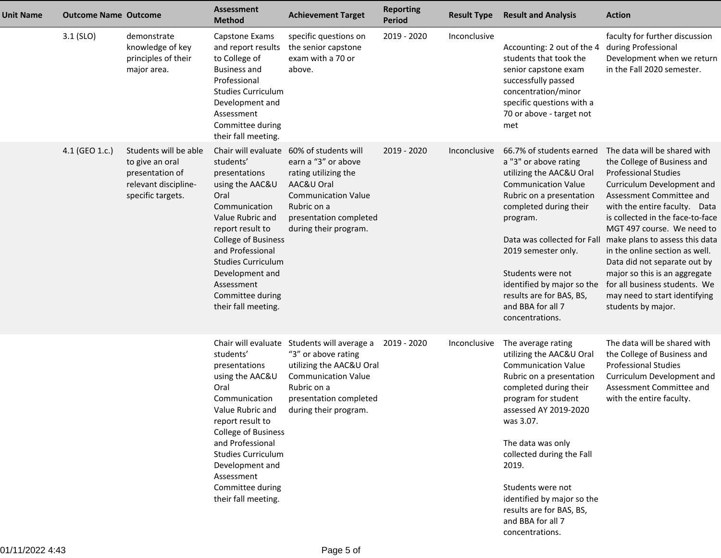| <b>Unit Name</b> | <b>Outcome Name Outcome</b> |                                                                                                          | <b>Assessment</b><br><b>Method</b>                                                                                                                                                                                                                                        | <b>Achievement Target</b>                                                                                                                                                                             | <b>Reporting</b><br><b>Period</b> | <b>Result Type</b> | <b>Result and Analysis</b>                                                                                                                                                                                                                                                                                                                                     | <b>Action</b>                                                                                                                                                                                                                                                                                                                                                                                                                                                                        |
|------------------|-----------------------------|----------------------------------------------------------------------------------------------------------|---------------------------------------------------------------------------------------------------------------------------------------------------------------------------------------------------------------------------------------------------------------------------|-------------------------------------------------------------------------------------------------------------------------------------------------------------------------------------------------------|-----------------------------------|--------------------|----------------------------------------------------------------------------------------------------------------------------------------------------------------------------------------------------------------------------------------------------------------------------------------------------------------------------------------------------------------|--------------------------------------------------------------------------------------------------------------------------------------------------------------------------------------------------------------------------------------------------------------------------------------------------------------------------------------------------------------------------------------------------------------------------------------------------------------------------------------|
|                  | $3.1$ (SLO)                 | demonstrate<br>knowledge of key<br>principles of their<br>major area.                                    | Capstone Exams<br>and report results<br>to College of<br><b>Business and</b><br>Professional<br><b>Studies Curriculum</b><br>Development and<br>Assessment<br>Committee during<br>their fall meeting.                                                                     | specific questions on<br>the senior capstone<br>exam with a 70 or<br>above.                                                                                                                           | 2019 - 2020                       | Inconclusive       | Accounting: 2 out of the 4<br>students that took the<br>senior capstone exam<br>successfully passed<br>concentration/minor<br>specific questions with a<br>70 or above - target not<br>met                                                                                                                                                                     | faculty for further discussion<br>during Professional<br>Development when we return<br>in the Fall 2020 semester.                                                                                                                                                                                                                                                                                                                                                                    |
|                  | 4.1 (GEO 1.c.)              | Students will be able<br>to give an oral<br>presentation of<br>relevant discipline-<br>specific targets. | students'<br>presentations<br>using the AAC&U<br>Oral<br>Communication<br>Value Rubric and<br>report result to<br><b>College of Business</b><br>and Professional<br><b>Studies Curriculum</b><br>Development and<br>Assessment<br>Committee during<br>their fall meeting. | Chair will evaluate 60% of students will<br>earn a "3" or above<br>rating utilizing the<br>AAC&U Oral<br><b>Communication Value</b><br>Rubric on a<br>presentation completed<br>during their program. | 2019 - 2020                       | Inconclusive       | 66.7% of students earned<br>a "3" or above rating<br>utilizing the AAC&U Oral<br><b>Communication Value</b><br>Rubric on a presentation<br>completed during their<br>program.<br>Data was collected for Fall<br>2019 semester only.<br>Students were not<br>identified by major so the<br>results are for BAS, BS,<br>and BBA for all 7<br>concentrations.     | The data will be shared with<br>the College of Business and<br><b>Professional Studies</b><br>Curriculum Development and<br>Assessment Committee and<br>with the entire faculty. Data<br>is collected in the face-to-face<br>MGT 497 course. We need to<br>make plans to assess this data<br>in the online section as well.<br>Data did not separate out by<br>major so this is an aggregate<br>for all business students. We<br>may need to start identifying<br>students by major. |
|                  |                             |                                                                                                          | students'<br>presentations<br>using the AAC&U<br>Oral<br>Communication<br>Value Rubric and<br>report result to<br><b>College of Business</b><br>and Professional<br><b>Studies Curriculum</b><br>Development and<br>Assessment<br>Committee during<br>their fall meeting. | Chair will evaluate Students will average a<br>"3" or above rating<br>utilizing the AAC&U Oral<br><b>Communication Value</b><br>Rubric on a<br>presentation completed<br>during their program.        | 2019 - 2020                       | Inconclusive       | The average rating<br>utilizing the AAC&U Oral<br><b>Communication Value</b><br>Rubric on a presentation<br>completed during their<br>program for student<br>assessed AY 2019-2020<br>was 3.07.<br>The data was only<br>collected during the Fall<br>2019.<br>Students were not<br>identified by major so the<br>results are for BAS, BS,<br>and BBA for all 7 | The data will be shared with<br>the College of Business and<br><b>Professional Studies</b><br>Curriculum Development and<br>Assessment Committee and<br>with the entire faculty.                                                                                                                                                                                                                                                                                                     |

concentrations.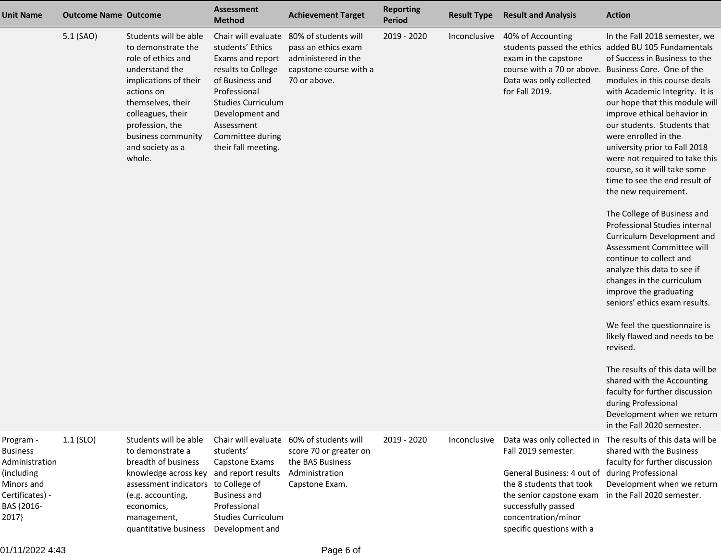| <b>Unit Name</b>                                                                                                     | <b>Outcome Name Outcome</b> |                                                                                                                                                                                                                                             | <b>Assessment</b><br><b>Method</b>                                                                                                                                                                                            | <b>Achievement Target</b>                                                                                                  | <b>Reporting</b><br><b>Period</b> | <b>Result Type</b> | <b>Result and Analysis</b>                                                                                                                                                                                         | <b>Action</b>                                                                                                                                                                                                                                                                                                                                                                                                                                                                                                                                                                                                                                                                                                                                                                                                                                                                                                                                                                                                                                                                         |
|----------------------------------------------------------------------------------------------------------------------|-----------------------------|---------------------------------------------------------------------------------------------------------------------------------------------------------------------------------------------------------------------------------------------|-------------------------------------------------------------------------------------------------------------------------------------------------------------------------------------------------------------------------------|----------------------------------------------------------------------------------------------------------------------------|-----------------------------------|--------------------|--------------------------------------------------------------------------------------------------------------------------------------------------------------------------------------------------------------------|---------------------------------------------------------------------------------------------------------------------------------------------------------------------------------------------------------------------------------------------------------------------------------------------------------------------------------------------------------------------------------------------------------------------------------------------------------------------------------------------------------------------------------------------------------------------------------------------------------------------------------------------------------------------------------------------------------------------------------------------------------------------------------------------------------------------------------------------------------------------------------------------------------------------------------------------------------------------------------------------------------------------------------------------------------------------------------------|
|                                                                                                                      | 5.1 (SAO)                   | Students will be able<br>to demonstrate the<br>role of ethics and<br>understand the<br>implications of their<br>actions on<br>themselves, their<br>colleagues, their<br>profession, the<br>business community<br>and society as a<br>whole. | Chair will evaluate<br>students' Ethics<br>Exams and report<br>results to College<br>of Business and<br>Professional<br><b>Studies Curriculum</b><br>Development and<br>Assessment<br>Committee during<br>their fall meeting. | 80% of students will<br>pass an ethics exam<br>administered in the<br>capstone course with a<br>70 or above.               | 2019 - 2020                       | Inconclusive       | 40% of Accounting<br>exam in the capstone<br>Data was only collected<br>for Fall 2019.                                                                                                                             | In the Fall 2018 semester, we<br>students passed the ethics added BU 105 Fundamentals<br>of Success in Business to the<br>course with a 70 or above. Business Core. One of the<br>modules in this course deals<br>with Academic Integrity. It is<br>our hope that this module will<br>improve ethical behavior in<br>our students. Students that<br>were enrolled in the<br>university prior to Fall 2018<br>were not required to take this<br>course, so it will take some<br>time to see the end result of<br>the new requirement.<br>The College of Business and<br>Professional Studies internal<br>Curriculum Development and<br>Assessment Committee will<br>continue to collect and<br>analyze this data to see if<br>changes in the curriculum<br>improve the graduating<br>seniors' ethics exam results.<br>We feel the questionnaire is<br>likely flawed and needs to be<br>revised.<br>The results of this data will be<br>shared with the Accounting<br>faculty for further discussion<br>during Professional<br>Development when we return<br>in the Fall 2020 semester. |
| Program -<br><b>Business</b><br>Administration<br>(including<br>Minors and<br>Certificates) -<br>BAS {2016-<br>2017} | $1.1$ (SLO)                 | Students will be able<br>to demonstrate a<br>breadth of business<br>knowledge across key<br>assessment indicators to College of<br>(e.g. accounting,<br>economics,<br>management,<br>quantitative business                                  | students'<br>Capstone Exams<br>and report results<br><b>Business and</b><br>Professional<br><b>Studies Curriculum</b><br>Development and                                                                                      | Chair will evaluate 60% of students will<br>score 70 or greater on<br>the BAS Business<br>Administration<br>Capstone Exam. | 2019 - 2020                       | Inconclusive       | Data was only collected in<br>Fall 2019 semester.<br>General Business: 4 out of<br>the 8 students that took<br>the senior capstone exam<br>successfully passed<br>concentration/minor<br>specific questions with a | The results of this data will be<br>shared with the Business<br>faculty for further discussion<br>during Professional<br>Development when we return<br>in the Fall 2020 semester.                                                                                                                                                                                                                                                                                                                                                                                                                                                                                                                                                                                                                                                                                                                                                                                                                                                                                                     |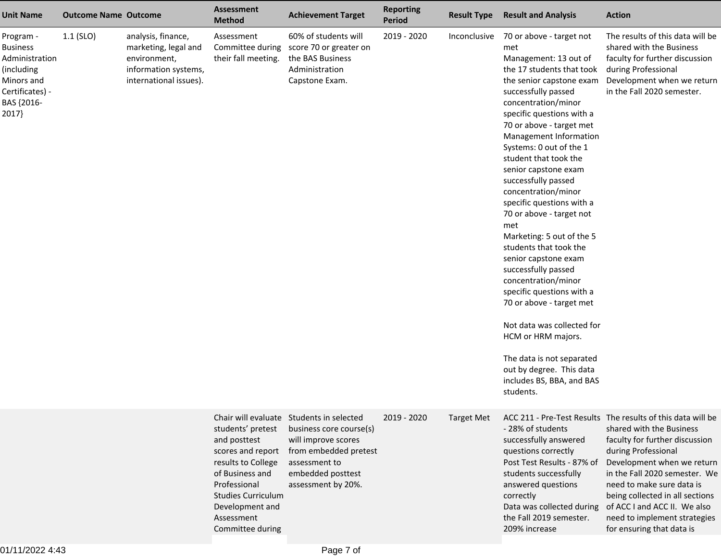| <b>Unit Name</b>                                                                                                     | <b>Outcome Name Outcome</b> |                                                                                                              | <b>Assessment</b><br><b>Method</b>                                                                                                                                                                | <b>Achievement Target</b>                                                                                                                                                       | <b>Reporting</b><br><b>Period</b> | <b>Result Type</b> | <b>Result and Analysis</b>                                                                                                                                                                                                                                                                                                                                                                                                                                                                                                                                                                                                                                                                                                                                                                | <b>Action</b>                                                                                                                                                                                                                                                                                                                                                                |
|----------------------------------------------------------------------------------------------------------------------|-----------------------------|--------------------------------------------------------------------------------------------------------------|---------------------------------------------------------------------------------------------------------------------------------------------------------------------------------------------------|---------------------------------------------------------------------------------------------------------------------------------------------------------------------------------|-----------------------------------|--------------------|-------------------------------------------------------------------------------------------------------------------------------------------------------------------------------------------------------------------------------------------------------------------------------------------------------------------------------------------------------------------------------------------------------------------------------------------------------------------------------------------------------------------------------------------------------------------------------------------------------------------------------------------------------------------------------------------------------------------------------------------------------------------------------------------|------------------------------------------------------------------------------------------------------------------------------------------------------------------------------------------------------------------------------------------------------------------------------------------------------------------------------------------------------------------------------|
| Program -<br><b>Business</b><br>Administration<br>(including<br>Minors and<br>Certificates) -<br>BAS {2016-<br>2017} | $1.1$ (SLO)                 | analysis, finance,<br>marketing, legal and<br>environment,<br>information systems,<br>international issues). | Assessment<br>Committee during<br>their fall meeting.                                                                                                                                             | 60% of students will<br>score 70 or greater on<br>the BAS Business<br>Administration<br>Capstone Exam.                                                                          | 2019 - 2020                       | Inconclusive       | 70 or above - target not<br>met<br>Management: 13 out of<br>the 17 students that took<br>the senior capstone exam<br>successfully passed<br>concentration/minor<br>specific questions with a<br>70 or above - target met<br>Management Information<br>Systems: 0 out of the 1<br>student that took the<br>senior capstone exam<br>successfully passed<br>concentration/minor<br>specific questions with a<br>70 or above - target not<br>met<br>Marketing: 5 out of the 5<br>students that took the<br>senior capstone exam<br>successfully passed<br>concentration/minor<br>specific questions with a<br>70 or above - target met<br>Not data was collected for<br>HCM or HRM majors.<br>The data is not separated<br>out by degree. This data<br>includes BS, BBA, and BAS<br>students. | The results of this data will be<br>shared with the Business<br>faculty for further discussion<br>during Professional<br>Development when we return<br>in the Fall 2020 semester.                                                                                                                                                                                            |
|                                                                                                                      |                             |                                                                                                              | students' pretest<br>and posttest<br>scores and report<br>results to College<br>of Business and<br>Professional<br><b>Studies Curriculum</b><br>Development and<br>Assessment<br>Committee during | Chair will evaluate Students in selected<br>business core course(s)<br>will improve scores<br>from embedded pretest<br>assessment to<br>embedded posttest<br>assessment by 20%. | 2019 - 2020                       | <b>Target Met</b>  | - 28% of students<br>successfully answered<br>questions correctly<br>Post Test Results - 87% of<br>students successfully<br>answered questions<br>correctly<br>Data was collected during<br>the Fall 2019 semester.<br>209% increase                                                                                                                                                                                                                                                                                                                                                                                                                                                                                                                                                      | ACC 211 - Pre-Test Results The results of this data will be<br>shared with the Business<br>faculty for further discussion<br>during Professional<br>Development when we return<br>in the Fall 2020 semester. We<br>need to make sure data is<br>being collected in all sections<br>of ACC I and ACC II. We also<br>need to implement strategies<br>for ensuring that data is |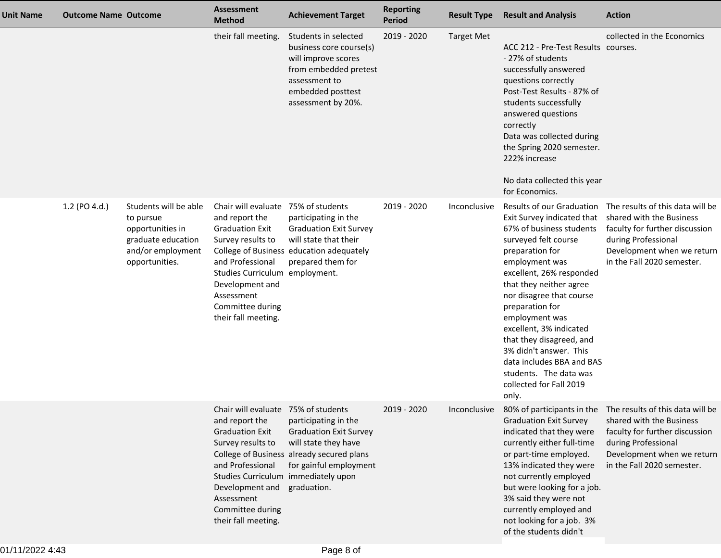| <b>Unit Name</b> | <b>Outcome Name Outcome</b> |                                                                                                                     | <b>Assessment</b><br><b>Method</b>                                                                                                                                                                                                                      | <b>Achievement Target</b>                                                                                                                                   | <b>Reporting</b><br>Period | <b>Result Type</b> | <b>Result and Analysis</b>                                                                                                                                                                                                                                                                                                                                                                                                                           | <b>Action</b>                                                                                                                                                                                                             |
|------------------|-----------------------------|---------------------------------------------------------------------------------------------------------------------|---------------------------------------------------------------------------------------------------------------------------------------------------------------------------------------------------------------------------------------------------------|-------------------------------------------------------------------------------------------------------------------------------------------------------------|----------------------------|--------------------|------------------------------------------------------------------------------------------------------------------------------------------------------------------------------------------------------------------------------------------------------------------------------------------------------------------------------------------------------------------------------------------------------------------------------------------------------|---------------------------------------------------------------------------------------------------------------------------------------------------------------------------------------------------------------------------|
|                  |                             |                                                                                                                     | their fall meeting.                                                                                                                                                                                                                                     | Students in selected<br>business core course(s)<br>will improve scores<br>from embedded pretest<br>assessment to<br>embedded posttest<br>assessment by 20%. | 2019 - 2020                | <b>Target Met</b>  | ACC 212 - Pre-Test Results courses.<br>- 27% of students<br>successfully answered<br>questions correctly<br>Post-Test Results - 87% of<br>students successfully<br>answered questions<br>correctly<br>Data was collected during<br>the Spring 2020 semester.<br>222% increase<br>No data collected this year<br>for Economics.                                                                                                                       | collected in the Economics                                                                                                                                                                                                |
|                  | 1.2 (PO 4.d.)               | Students will be able<br>to pursue<br>opportunities in<br>graduate education<br>and/or employment<br>opportunities. | Chair will evaluate 75% of students<br>and report the<br><b>Graduation Exit</b><br>Survey results to<br>and Professional<br>Studies Curriculum employment.<br>Development and<br>Assessment<br>Committee during<br>their fall meeting.                  | participating in the<br><b>Graduation Exit Survey</b><br>will state that their<br>College of Business education adequately<br>prepared them for             | 2019 - 2020                | Inconclusive       | Results of our Graduation<br>Exit Survey indicated that<br>67% of business students<br>surveyed felt course<br>preparation for<br>employment was<br>excellent, 26% responded<br>that they neither agree<br>nor disagree that course<br>preparation for<br>employment was<br>excellent, 3% indicated<br>that they disagreed, and<br>3% didn't answer. This<br>data includes BBA and BAS<br>students. The data was<br>collected for Fall 2019<br>only. | The results of this data will be<br>shared with the Business<br>faculty for further discussion<br>during Professional<br>Development when we return<br>in the Fall 2020 semester.                                         |
|                  |                             |                                                                                                                     | Chair will evaluate 75% of students<br>and report the<br><b>Graduation Exit</b><br>Survey results to<br>and Professional<br>Studies Curriculum immediately upon<br>Development and graduation.<br>Assessment<br>Committee during<br>their fall meeting. | participating in the<br><b>Graduation Exit Survey</b><br>will state they have<br>College of Business already secured plans<br>for gainful employment        | 2019 - 2020                |                    | <b>Graduation Exit Survey</b><br>indicated that they were<br>currently either full-time<br>or part-time employed.<br>13% indicated they were<br>not currently employed<br>but were looking for a job.<br>3% said they were not<br>currently employed and<br>not looking for a job. 3%<br>of the students didn't                                                                                                                                      | Inconclusive 80% of participants in the The results of this data will be<br>shared with the Business<br>faculty for further discussion<br>during Professional<br>Development when we return<br>in the Fall 2020 semester. |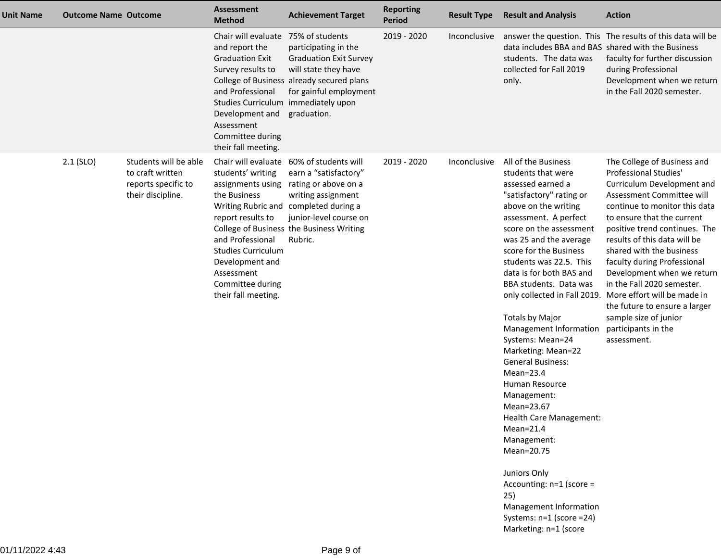| Unit Name | <b>Outcome Name Outcome</b> |                                                                                       | <b>Assessment</b><br><b>Method</b>                                                                                                                                                                                              | <b>Achievement Target</b>                                                                                                                                                                                             | <b>Reporting</b><br><b>Period</b> | <b>Result Type</b> | <b>Result and Analysis</b>                                                                                                                                                                                                                                                                                                                                                                                                                                                                                                                                                                                                                                                                                     | <b>Action</b>                                                                                                                                                                                                                                                                                                                                                                                                                                                                                                                      |
|-----------|-----------------------------|---------------------------------------------------------------------------------------|---------------------------------------------------------------------------------------------------------------------------------------------------------------------------------------------------------------------------------|-----------------------------------------------------------------------------------------------------------------------------------------------------------------------------------------------------------------------|-----------------------------------|--------------------|----------------------------------------------------------------------------------------------------------------------------------------------------------------------------------------------------------------------------------------------------------------------------------------------------------------------------------------------------------------------------------------------------------------------------------------------------------------------------------------------------------------------------------------------------------------------------------------------------------------------------------------------------------------------------------------------------------------|------------------------------------------------------------------------------------------------------------------------------------------------------------------------------------------------------------------------------------------------------------------------------------------------------------------------------------------------------------------------------------------------------------------------------------------------------------------------------------------------------------------------------------|
|           |                             |                                                                                       | Chair will evaluate<br>and report the<br><b>Graduation Exit</b><br>Survey results to<br>and Professional<br>Studies Curriculum immediately upon<br>Development and<br>Assessment<br>Committee during<br>their fall meeting.     | 75% of students<br>participating in the<br><b>Graduation Exit Survey</b><br>will state they have<br>College of Business already secured plans<br>for gainful employment<br>graduation.                                | 2019 - 2020                       | Inconclusive       | data includes BBA and BAS shared with the Business<br>students. The data was<br>collected for Fall 2019<br>only.                                                                                                                                                                                                                                                                                                                                                                                                                                                                                                                                                                                               | answer the question. This The results of this data will be<br>faculty for further discussion<br>during Professional<br>Development when we return<br>in the Fall 2020 semester.                                                                                                                                                                                                                                                                                                                                                    |
|           | $2.1$ (SLO)                 | Students will be able<br>to craft written<br>reports specific to<br>their discipline. | Chair will evaluate<br>students' writing<br>assignments using<br>the Business<br>report results to<br>and Professional<br><b>Studies Curriculum</b><br>Development and<br>Assessment<br>Committee during<br>their fall meeting. | 60% of students will<br>earn a "satisfactory"<br>rating or above on a<br>writing assignment<br>Writing Rubric and completed during a<br>junior-level course on<br>College of Business the Business Writing<br>Rubric. | 2019 - 2020                       | Inconclusive       | All of the Business<br>students that were<br>assessed earned a<br>"satisfactory" rating or<br>above on the writing<br>assessment. A perfect<br>score on the assessment<br>was 25 and the average<br>score for the Business<br>students was 22.5. This<br>data is for both BAS and<br>BBA students. Data was<br><b>Totals by Major</b><br>Management Information<br>Systems: Mean=24<br>Marketing: Mean=22<br><b>General Business:</b><br>$Mean = 23.4$<br>Human Resource<br>Management:<br>Mean=23.67<br>Health Care Management:<br>$Mean=21.4$<br>Management:<br>Mean=20.75<br>Juniors Only<br>Accounting: n=1 (score =<br>25)<br>Management Information<br>Systems: n=1 (score =24)<br>Marketing: n=1 (score | The College of Business and<br>Professional Studies'<br>Curriculum Development and<br>Assessment Committee will<br>continue to monitor this data<br>to ensure that the current<br>positive trend continues. The<br>results of this data will be<br>shared with the business<br>faculty during Professional<br>Development when we return<br>in the Fall 2020 semester.<br>only collected in Fall 2019. More effort will be made in<br>the future to ensure a larger<br>sample size of junior<br>participants in the<br>assessment. |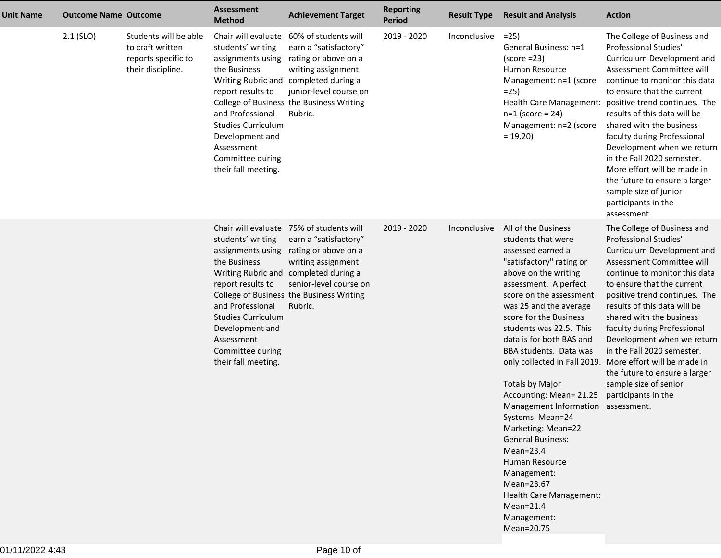| <b>Unit Name</b> | <b>Outcome Name Outcome</b> |                                                                                       | <b>Assessment</b><br><b>Method</b>                                                                                                                                                                       | <b>Achievement Target</b>                                                                                                                                                                                                                 | <b>Reporting</b><br><b>Period</b> | <b>Result Type</b> | <b>Result and Analysis</b>                                                                                                                                                                                                                                                                                                                                                                                                                                                                                                                                                                                          | <b>Action</b>                                                                                                                                                                                                                                                                                                                                                                                                                                                                                                                 |
|------------------|-----------------------------|---------------------------------------------------------------------------------------|----------------------------------------------------------------------------------------------------------------------------------------------------------------------------------------------------------|-------------------------------------------------------------------------------------------------------------------------------------------------------------------------------------------------------------------------------------------|-----------------------------------|--------------------|---------------------------------------------------------------------------------------------------------------------------------------------------------------------------------------------------------------------------------------------------------------------------------------------------------------------------------------------------------------------------------------------------------------------------------------------------------------------------------------------------------------------------------------------------------------------------------------------------------------------|-------------------------------------------------------------------------------------------------------------------------------------------------------------------------------------------------------------------------------------------------------------------------------------------------------------------------------------------------------------------------------------------------------------------------------------------------------------------------------------------------------------------------------|
|                  | $2.1$ (SLO)                 | Students will be able<br>to craft written<br>reports specific to<br>their discipline. | students' writing<br>assignments using<br>the Business<br>report results to<br>and Professional<br><b>Studies Curriculum</b><br>Development and<br>Assessment<br>Committee during<br>their fall meeting. | Chair will evaluate 60% of students will<br>earn a "satisfactory"<br>rating or above on a<br>writing assignment<br>Writing Rubric and completed during a<br>junior-level course on<br>College of Business the Business Writing<br>Rubric. | 2019 - 2020                       | Inconclusive       | $=25$<br>General Business: n=1<br>$(score = 23)$<br>Human Resource<br>Management: n=1 (score<br>$=25$<br>$n=1$ (score = 24)<br>Management: n=2 (score<br>$= 19,20$                                                                                                                                                                                                                                                                                                                                                                                                                                                  | The College of Business and<br>Professional Studies'<br>Curriculum Development and<br>Assessment Committee will<br>continue to monitor this data<br>to ensure that the current<br>Health Care Management: positive trend continues. The<br>results of this data will be<br>shared with the business<br>faculty during Professional<br>Development when we return<br>in the Fall 2020 semester.<br>More effort will be made in<br>the future to ensure a larger<br>sample size of junior<br>participants in the<br>assessment. |
|                  |                             |                                                                                       | students' writing<br>assignments using<br>the Business<br>report results to<br>and Professional<br><b>Studies Curriculum</b><br>Development and<br>Assessment<br>Committee during<br>their fall meeting. | Chair will evaluate 75% of students will<br>earn a "satisfactory"<br>rating or above on a<br>writing assignment<br>Writing Rubric and completed during a<br>senior-level course on<br>College of Business the Business Writing<br>Rubric. | 2019 - 2020                       | Inconclusive       | All of the Business<br>students that were<br>assessed earned a<br>"satisfactory" rating or<br>above on the writing<br>assessment. A perfect<br>score on the assessment<br>was 25 and the average<br>score for the Business<br>students was 22.5. This<br>data is for both BAS and<br>BBA students. Data was<br><b>Totals by Major</b><br>Accounting: Mean= 21.25<br>Management Information assessment.<br>Systems: Mean=24<br>Marketing: Mean=22<br><b>General Business:</b><br>$Mean = 23.4$<br>Human Resource<br>Management:<br>Mean=23.67<br>Health Care Management:<br>$Mean=21.4$<br>Management:<br>Mean=20.75 | The College of Business and<br>Professional Studies'<br>Curriculum Development and<br>Assessment Committee will<br>continue to monitor this data<br>to ensure that the current<br>positive trend continues. The<br>results of this data will be<br>shared with the business<br>faculty during Professional<br>Development when we return<br>in the Fall 2020 semester.<br>only collected in Fall 2019. More effort will be made in<br>the future to ensure a larger<br>sample size of senior<br>participants in the           |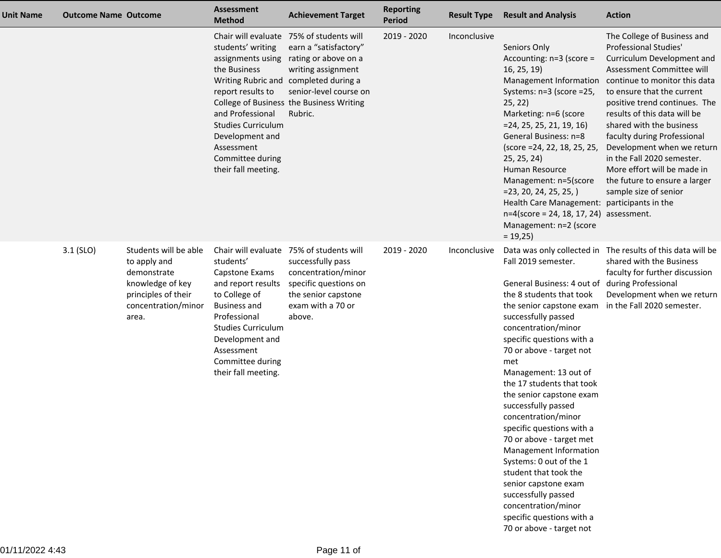| Unit Name | <b>Outcome Name Outcome</b> |                                                                                                                                 | Assessment<br><b>Method</b>                                                                                                                                                                                                               | <b>Achievement Target</b>                                                                                                                                                                                                                 | <b>Reporting</b><br><b>Period</b> | <b>Result Type</b> | <b>Result and Analysis</b>                                                                                                                                                                                                                                                                                                                                                                                                                                                                                                                                                                                                                                                   | <b>Action</b>                                                                                                                                                                                                                                                                                                                                                                                                                                                                                 |
|-----------|-----------------------------|---------------------------------------------------------------------------------------------------------------------------------|-------------------------------------------------------------------------------------------------------------------------------------------------------------------------------------------------------------------------------------------|-------------------------------------------------------------------------------------------------------------------------------------------------------------------------------------------------------------------------------------------|-----------------------------------|--------------------|------------------------------------------------------------------------------------------------------------------------------------------------------------------------------------------------------------------------------------------------------------------------------------------------------------------------------------------------------------------------------------------------------------------------------------------------------------------------------------------------------------------------------------------------------------------------------------------------------------------------------------------------------------------------------|-----------------------------------------------------------------------------------------------------------------------------------------------------------------------------------------------------------------------------------------------------------------------------------------------------------------------------------------------------------------------------------------------------------------------------------------------------------------------------------------------|
|           |                             |                                                                                                                                 | students' writing<br>assignments using<br>the Business<br>report results to<br>and Professional<br><b>Studies Curriculum</b><br>Development and<br>Assessment<br>Committee during<br>their fall meeting.                                  | Chair will evaluate 75% of students will<br>earn a "satisfactory"<br>rating or above on a<br>writing assignment<br>Writing Rubric and completed during a<br>senior-level course on<br>College of Business the Business Writing<br>Rubric. | 2019 - 2020                       | Inconclusive       | Seniors Only<br>Accounting: $n=3$ (score =<br>16, 25, 19<br>Systems: n=3 (score =25,<br>25, 22)<br>Marketing: n=6 (score<br>$=$ 24, 25, 25, 21, 19, 16)<br>General Business: n=8<br>(score = 24, 22, 18, 25, 25,<br>25, 25, 24)<br>Human Resource<br>Management: n=5(score<br>$= 23, 20, 24, 25, 25, )$<br>Health Care Management: participants in the<br>$n=4$ (score = 24, 18, 17, 24) assessment.<br>Management: n=2 (score<br>$= 19,25$                                                                                                                                                                                                                                  | The College of Business and<br><b>Professional Studies'</b><br>Curriculum Development and<br>Assessment Committee will<br>Management Information continue to monitor this data<br>to ensure that the current<br>positive trend continues. The<br>results of this data will be<br>shared with the business<br>faculty during Professional<br>Development when we return<br>in the Fall 2020 semester.<br>More effort will be made in<br>the future to ensure a larger<br>sample size of senior |
|           | $3.1$ (SLO)                 | Students will be able<br>to apply and<br>demonstrate<br>knowledge of key<br>principles of their<br>concentration/minor<br>area. | Chair will evaluate<br>students'<br>Capstone Exams<br>and report results<br>to College of<br><b>Business and</b><br>Professional<br><b>Studies Curriculum</b><br>Development and<br>Assessment<br>Committee during<br>their fall meeting. | 75% of students will<br>successfully pass<br>concentration/minor<br>specific questions on<br>the senior capstone<br>exam with a 70 or<br>above.                                                                                           | 2019 - 2020                       | Inconclusive       | Fall 2019 semester.<br>General Business: 4 out of during Professional<br>the 8 students that took<br>the senior capstone exam in the Fall 2020 semester.<br>successfully passed<br>concentration/minor<br>specific questions with a<br>70 or above - target not<br>met<br>Management: 13 out of<br>the 17 students that took<br>the senior capstone exam<br>successfully passed<br>concentration/minor<br>specific questions with a<br>70 or above - target met<br>Management Information<br>Systems: 0 out of the 1<br>student that took the<br>senior capstone exam<br>successfully passed<br>concentration/minor<br>specific questions with a<br>70 or above - target not | Data was only collected in The results of this data will be<br>shared with the Business<br>faculty for further discussion<br>Development when we return                                                                                                                                                                                                                                                                                                                                       |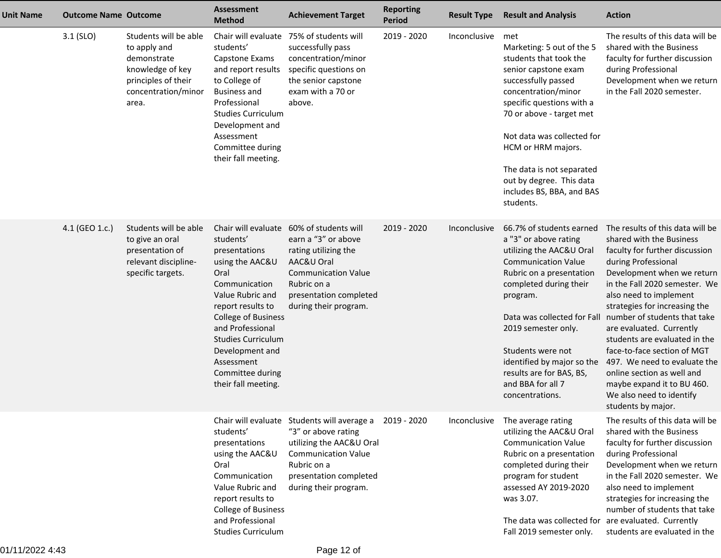| <b>Unit Name</b> | <b>Outcome Name Outcome</b> |                                                                                                                                 | <b>Assessment</b><br><b>Method</b>                                                                                                                                                                                                                                                                | <b>Achievement Target</b>                                                                                                                                                                                  | <b>Reporting</b><br><b>Period</b> | <b>Result Type</b> | <b>Result and Analysis</b>                                                                                                                                                                                                                                                                                                                                 | <b>Action</b>                                                                                                                                                                                                                                                                                                                                                                                                                                                                                                             |
|------------------|-----------------------------|---------------------------------------------------------------------------------------------------------------------------------|---------------------------------------------------------------------------------------------------------------------------------------------------------------------------------------------------------------------------------------------------------------------------------------------------|------------------------------------------------------------------------------------------------------------------------------------------------------------------------------------------------------------|-----------------------------------|--------------------|------------------------------------------------------------------------------------------------------------------------------------------------------------------------------------------------------------------------------------------------------------------------------------------------------------------------------------------------------------|---------------------------------------------------------------------------------------------------------------------------------------------------------------------------------------------------------------------------------------------------------------------------------------------------------------------------------------------------------------------------------------------------------------------------------------------------------------------------------------------------------------------------|
|                  | $3.1$ (SLO)                 | Students will be able<br>to apply and<br>demonstrate<br>knowledge of key<br>principles of their<br>concentration/minor<br>area. | Chair will evaluate<br>students'<br>Capstone Exams<br>and report results<br>to College of<br><b>Business and</b><br>Professional<br><b>Studies Curriculum</b><br>Development and<br>Assessment<br>Committee during<br>their fall meeting.                                                         | 75% of students will<br>successfully pass<br>concentration/minor<br>specific questions on<br>the senior capstone<br>exam with a 70 or<br>above.                                                            | 2019 - 2020                       | Inconclusive met   | Marketing: 5 out of the 5<br>students that took the<br>senior capstone exam<br>successfully passed<br>concentration/minor<br>specific questions with a<br>70 or above - target met<br>Not data was collected for<br>HCM or HRM majors.<br>The data is not separated<br>out by degree. This data<br>includes BS, BBA, and BAS<br>students.                  | The results of this data will be<br>shared with the Business<br>faculty for further discussion<br>during Professional<br>Development when we return<br>in the Fall 2020 semester.                                                                                                                                                                                                                                                                                                                                         |
|                  | 4.1 (GEO 1.c.)              | Students will be able<br>to give an oral<br>presentation of<br>relevant discipline-<br>specific targets.                        | Chair will evaluate<br>students'<br>presentations<br>using the AAC&U<br>Oral<br>Communication<br>Value Rubric and<br>report results to<br><b>College of Business</b><br>and Professional<br><b>Studies Curriculum</b><br>Development and<br>Assessment<br>Committee during<br>their fall meeting. | 60% of students will<br>earn a "3" or above<br>rating utilizing the<br>AAC&U Oral<br><b>Communication Value</b><br>Rubric on a<br>presentation completed<br>during their program.                          | 2019 - 2020                       | Inconclusive       | 66.7% of students earned<br>a "3" or above rating<br>utilizing the AAC&U Oral<br><b>Communication Value</b><br>Rubric on a presentation<br>completed during their<br>program.<br>Data was collected for Fall<br>2019 semester only.<br>Students were not<br>identified by major so the<br>results are for BAS, BS,<br>and BBA for all 7<br>concentrations. | The results of this data will be<br>shared with the Business<br>faculty for further discussion<br>during Professional<br>Development when we return<br>in the Fall 2020 semester. We<br>also need to implement<br>strategies for increasing the<br>number of students that take<br>are evaluated. Currently<br>students are evaluated in the<br>face-to-face section of MGT<br>497. We need to evaluate the<br>online section as well and<br>maybe expand it to BU 460.<br>We also need to identify<br>students by major. |
|                  |                             |                                                                                                                                 | students'<br>presentations<br>using the AAC&U<br>Oral<br>Communication<br>Value Rubric and<br>report results to<br>College of Business<br>and Professional<br><b>Studies Curriculum</b>                                                                                                           | Chair will evaluate Students will average a 2019 - 2020<br>"3" or above rating<br>utilizing the AAC&U Oral<br><b>Communication Value</b><br>Rubric on a<br>presentation completed<br>during their program. |                                   | Inconclusive       | The average rating<br>utilizing the AAC&U Oral<br><b>Communication Value</b><br>Rubric on a presentation<br>completed during their<br>program for student<br>assessed AY 2019-2020<br>was 3.07.<br>The data was collected for are evaluated. Currently<br>Fall 2019 semester only.                                                                         | The results of this data will be<br>shared with the Business<br>faculty for further discussion<br>during Professional<br>Development when we return<br>in the Fall 2020 semester. We<br>also need to implement<br>strategies for increasing the<br>number of students that take<br>students are evaluated in the                                                                                                                                                                                                          |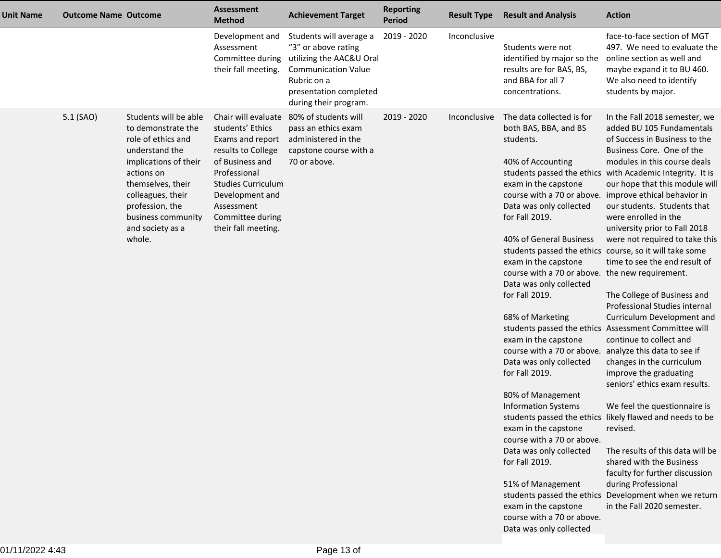| <b>Unit Name</b> | <b>Outcome Name Outcome</b> |                                                                                                                                                                                                                                             | <b>Assessment</b><br><b>Method</b>                                                                                                                                                                                            | <b>Achievement Target</b>                                                                                                                                                  | <b>Reporting</b><br><b>Period</b> | <b>Result Type</b> | <b>Result and Analysis</b>                                                                                                                                                                                                                                                                                                                                                                                                                                                                                                                                                                                                                                                                                                                                                             | <b>Action</b>                                                                                                                                                                                                                                                                                                                                                                                                                                                                                                                                                                                                                                                                                                                                                                                                                                                                                                                                                                                                                                                                 |
|------------------|-----------------------------|---------------------------------------------------------------------------------------------------------------------------------------------------------------------------------------------------------------------------------------------|-------------------------------------------------------------------------------------------------------------------------------------------------------------------------------------------------------------------------------|----------------------------------------------------------------------------------------------------------------------------------------------------------------------------|-----------------------------------|--------------------|----------------------------------------------------------------------------------------------------------------------------------------------------------------------------------------------------------------------------------------------------------------------------------------------------------------------------------------------------------------------------------------------------------------------------------------------------------------------------------------------------------------------------------------------------------------------------------------------------------------------------------------------------------------------------------------------------------------------------------------------------------------------------------------|-------------------------------------------------------------------------------------------------------------------------------------------------------------------------------------------------------------------------------------------------------------------------------------------------------------------------------------------------------------------------------------------------------------------------------------------------------------------------------------------------------------------------------------------------------------------------------------------------------------------------------------------------------------------------------------------------------------------------------------------------------------------------------------------------------------------------------------------------------------------------------------------------------------------------------------------------------------------------------------------------------------------------------------------------------------------------------|
|                  |                             |                                                                                                                                                                                                                                             | Development and<br>Assessment<br>Committee during<br>their fall meeting.                                                                                                                                                      | Students will average a<br>"3" or above rating<br>utilizing the AAC&U Oral<br><b>Communication Value</b><br>Rubric on a<br>presentation completed<br>during their program. | 2019 - 2020                       | Inconclusive       | Students were not<br>identified by major so the<br>results are for BAS, BS,<br>and BBA for all 7<br>concentrations.                                                                                                                                                                                                                                                                                                                                                                                                                                                                                                                                                                                                                                                                    | face-to-face section of MGT<br>497. We need to evaluate the<br>online section as well and<br>maybe expand it to BU 460.<br>We also need to identify<br>students by major.                                                                                                                                                                                                                                                                                                                                                                                                                                                                                                                                                                                                                                                                                                                                                                                                                                                                                                     |
|                  | 5.1 (SAO)                   | Students will be able<br>to demonstrate the<br>role of ethics and<br>understand the<br>implications of their<br>actions on<br>themselves, their<br>colleagues, their<br>profession, the<br>business community<br>and society as a<br>whole. | Chair will evaluate<br>students' Ethics<br>Exams and report<br>results to College<br>of Business and<br>Professional<br><b>Studies Curriculum</b><br>Development and<br>Assessment<br>Committee during<br>their fall meeting. | 80% of students will<br>pass an ethics exam<br>administered in the<br>capstone course with a<br>70 or above.                                                               | 2019 - 2020                       | Inconclusive       | The data collected is for<br>both BAS, BBA, and BS<br>students.<br>40% of Accounting<br>exam in the capstone<br>Data was only collected<br>for Fall 2019.<br>40% of General Business<br>students passed the ethics course, so it will take some<br>exam in the capstone<br>course with a 70 or above. the new requirement.<br>Data was only collected<br>for Fall 2019.<br>68% of Marketing<br>exam in the capstone<br>course with a 70 or above. analyze this data to see if<br>Data was only collected<br>for Fall 2019.<br>80% of Management<br><b>Information Systems</b><br>exam in the capstone<br>course with a 70 or above.<br>Data was only collected<br>for Fall 2019.<br>51% of Management<br>exam in the capstone<br>course with a 70 or above.<br>Data was only collected | In the Fall 2018 semester, we<br>added BU 105 Fundamentals<br>of Success in Business to the<br>Business Core. One of the<br>modules in this course deals<br>students passed the ethics with Academic Integrity. It is<br>our hope that this module will<br>course with a 70 or above. improve ethical behavior in<br>our students. Students that<br>were enrolled in the<br>university prior to Fall 2018<br>were not required to take this<br>time to see the end result of<br>The College of Business and<br>Professional Studies internal<br>Curriculum Development and<br>students passed the ethics Assessment Committee will<br>continue to collect and<br>changes in the curriculum<br>improve the graduating<br>seniors' ethics exam results.<br>We feel the questionnaire is<br>students passed the ethics likely flawed and needs to be<br>revised.<br>The results of this data will be<br>shared with the Business<br>faculty for further discussion<br>during Professional<br>students passed the ethics Development when we return<br>in the Fall 2020 semester. |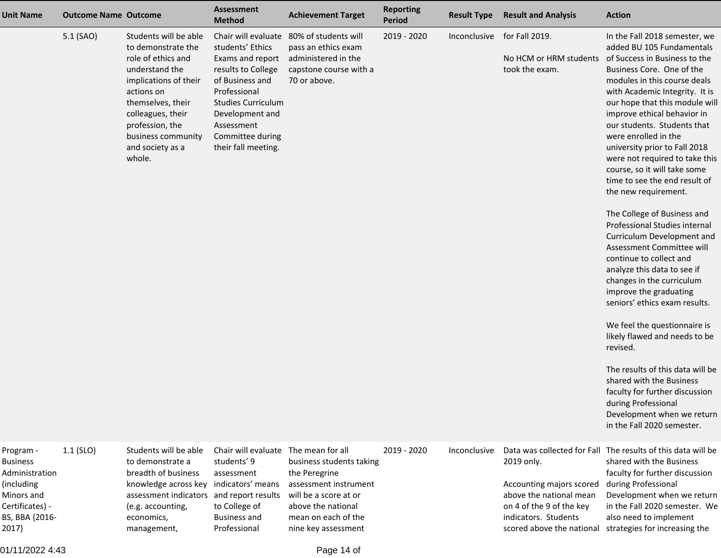| <b>Unit Name</b>                                                                                                         | <b>Outcome Name Outcome</b> |                                                                                                                                                                                                                                             | Assessment<br><b>Method</b>                                                                                                                                                                                                   | <b>Achievement Target</b>                                                                                                                                                           | <b>Reporting</b><br><b>Period</b> | <b>Result Type</b> | <b>Result and Analysis</b>                                                                                                                         | <b>Action</b>                                                                                                                                                                                                                                                                                                                                                                                                                                                                                                                                                                                                                                                                                                                                                                                                                                                                                                                                                                                                                 |
|--------------------------------------------------------------------------------------------------------------------------|-----------------------------|---------------------------------------------------------------------------------------------------------------------------------------------------------------------------------------------------------------------------------------------|-------------------------------------------------------------------------------------------------------------------------------------------------------------------------------------------------------------------------------|-------------------------------------------------------------------------------------------------------------------------------------------------------------------------------------|-----------------------------------|--------------------|----------------------------------------------------------------------------------------------------------------------------------------------------|-------------------------------------------------------------------------------------------------------------------------------------------------------------------------------------------------------------------------------------------------------------------------------------------------------------------------------------------------------------------------------------------------------------------------------------------------------------------------------------------------------------------------------------------------------------------------------------------------------------------------------------------------------------------------------------------------------------------------------------------------------------------------------------------------------------------------------------------------------------------------------------------------------------------------------------------------------------------------------------------------------------------------------|
|                                                                                                                          | 5.1 (SAO)                   | Students will be able<br>to demonstrate the<br>role of ethics and<br>understand the<br>implications of their<br>actions on<br>themselves, their<br>colleagues, their<br>profession, the<br>business community<br>and society as a<br>whole. | Chair will evaluate<br>students' Ethics<br>Exams and report<br>results to College<br>of Business and<br>Professional<br><b>Studies Curriculum</b><br>Development and<br>Assessment<br>Committee during<br>their fall meeting. | 80% of students will<br>pass an ethics exam<br>administered in the<br>capstone course with a<br>70 or above.                                                                        | 2019 - 2020                       | Inconclusive       | for Fall 2019.<br>No HCM or HRM students<br>took the exam.                                                                                         | In the Fall 2018 semester, we<br>added BU 105 Fundamentals<br>of Success in Business to the<br>Business Core. One of the<br>modules in this course deals<br>with Academic Integrity. It is<br>our hope that this module will<br>improve ethical behavior in<br>our students. Students that<br>were enrolled in the<br>university prior to Fall 2018<br>were not required to take this<br>course, so it will take some<br>time to see the end result of<br>the new requirement.<br>The College of Business and<br>Professional Studies internal<br>Curriculum Development and<br>Assessment Committee will<br>continue to collect and<br>analyze this data to see if<br>changes in the curriculum<br>improve the graduating<br>seniors' ethics exam results.<br>We feel the questionnaire is<br>likely flawed and needs to be<br>revised.<br>The results of this data will be<br>shared with the Business<br>faculty for further discussion<br>during Professional<br>Development when we return<br>in the Fall 2020 semester. |
| Program -<br><b>Business</b><br>Administration<br>(including<br>Minors and<br>Certificates) -<br>BS, BBA {2016-<br>2017} | $1.1$ (SLO)                 | Students will be able<br>to demonstrate a<br>breadth of business<br>knowledge across key<br>assessment indicators and report results<br>(e.g. accounting,<br>economics,<br>management,                                                      | Chair will evaluate<br>students' 9<br>assessment<br>indicators' means<br>to College of<br><b>Business and</b><br>Professional                                                                                                 | The mean for all<br>business students taking<br>the Peregrine<br>assessment instrument<br>will be a score at or<br>above the national<br>mean on each of the<br>nine key assessment | 2019 - 2020                       | Inconclusive       | 2019 only.<br>Accounting majors scored<br>above the national mean<br>on 4 of the 9 of the key<br>indicators. Students<br>scored above the national | Data was collected for Fall The results of this data will be<br>shared with the Business<br>faculty for further discussion<br>during Professional<br>Development when we return<br>in the Fall 2020 semester. We<br>also need to implement<br>strategies for increasing the                                                                                                                                                                                                                                                                                                                                                                                                                                                                                                                                                                                                                                                                                                                                                   |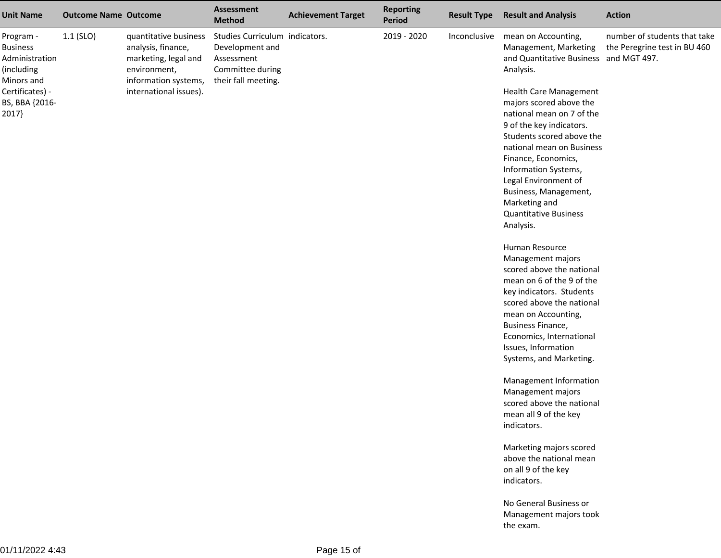| <b>Unit Name</b>                                                           | <b>Outcome Name Outcome</b> |                                                                                                             | <b>Assessment</b><br><b>Method</b>                                                                         | <b>Achievement Target</b> | <b>Reporting</b><br><b>Period</b> | <b>Result Type</b> | <b>Result and Analysis</b>                                                                          | <b>Action</b>                                                |
|----------------------------------------------------------------------------|-----------------------------|-------------------------------------------------------------------------------------------------------------|------------------------------------------------------------------------------------------------------------|---------------------------|-----------------------------------|--------------------|-----------------------------------------------------------------------------------------------------|--------------------------------------------------------------|
| Program -<br><b>Business</b><br>Administration<br>(including<br>Minors and | $1.1$ (SLO)                 | quantitative business<br>analysis, finance,<br>marketing, legal and<br>environment,<br>information systems, | Studies Curriculum indicators.<br>Development and<br>Assessment<br>Committee during<br>their fall meeting. |                           | 2019 - 2020                       | Inconclusive       | mean on Accounting,<br>Management, Marketing<br>and Quantitative Business and MGT 497.<br>Analysis. | number of students that take<br>the Peregrine test in BU 460 |
| Certificates) -                                                            |                             | international issues).                                                                                      |                                                                                                            |                           |                                   |                    | <b>Health Care Management</b>                                                                       |                                                              |
| BS, BBA {2016-                                                             |                             |                                                                                                             |                                                                                                            |                           |                                   |                    | majors scored above the                                                                             |                                                              |
| 2017}                                                                      |                             |                                                                                                             |                                                                                                            |                           |                                   |                    | national mean on 7 of the<br>9 of the key indicators.                                               |                                                              |
|                                                                            |                             |                                                                                                             |                                                                                                            |                           |                                   |                    | Students scored above the                                                                           |                                                              |
|                                                                            |                             |                                                                                                             |                                                                                                            |                           |                                   |                    | national mean on Business                                                                           |                                                              |
|                                                                            |                             |                                                                                                             |                                                                                                            |                           |                                   |                    | Finance, Economics,                                                                                 |                                                              |
|                                                                            |                             |                                                                                                             |                                                                                                            |                           |                                   |                    | Information Systems,                                                                                |                                                              |
|                                                                            |                             |                                                                                                             |                                                                                                            |                           |                                   |                    | Legal Environment of                                                                                |                                                              |
|                                                                            |                             |                                                                                                             |                                                                                                            |                           |                                   |                    | Business, Management,                                                                               |                                                              |
|                                                                            |                             |                                                                                                             |                                                                                                            |                           |                                   |                    | Marketing and<br><b>Quantitative Business</b>                                                       |                                                              |
|                                                                            |                             |                                                                                                             |                                                                                                            |                           |                                   |                    | Analysis.                                                                                           |                                                              |
|                                                                            |                             |                                                                                                             |                                                                                                            |                           |                                   |                    | Human Resource                                                                                      |                                                              |
|                                                                            |                             |                                                                                                             |                                                                                                            |                           |                                   |                    | Management majors                                                                                   |                                                              |
|                                                                            |                             |                                                                                                             |                                                                                                            |                           |                                   |                    | scored above the national                                                                           |                                                              |
|                                                                            |                             |                                                                                                             |                                                                                                            |                           |                                   |                    | mean on 6 of the 9 of the                                                                           |                                                              |
|                                                                            |                             |                                                                                                             |                                                                                                            |                           |                                   |                    | key indicators. Students                                                                            |                                                              |
|                                                                            |                             |                                                                                                             |                                                                                                            |                           |                                   |                    | scored above the national                                                                           |                                                              |
|                                                                            |                             |                                                                                                             |                                                                                                            |                           |                                   |                    | mean on Accounting,<br><b>Business Finance,</b>                                                     |                                                              |
|                                                                            |                             |                                                                                                             |                                                                                                            |                           |                                   |                    | Economics, International                                                                            |                                                              |
|                                                                            |                             |                                                                                                             |                                                                                                            |                           |                                   |                    | Issues, Information                                                                                 |                                                              |
|                                                                            |                             |                                                                                                             |                                                                                                            |                           |                                   |                    | Systems, and Marketing.                                                                             |                                                              |
|                                                                            |                             |                                                                                                             |                                                                                                            |                           |                                   |                    | Management Information                                                                              |                                                              |
|                                                                            |                             |                                                                                                             |                                                                                                            |                           |                                   |                    | Management majors                                                                                   |                                                              |
|                                                                            |                             |                                                                                                             |                                                                                                            |                           |                                   |                    | scored above the national                                                                           |                                                              |
|                                                                            |                             |                                                                                                             |                                                                                                            |                           |                                   |                    | mean all 9 of the key                                                                               |                                                              |
|                                                                            |                             |                                                                                                             |                                                                                                            |                           |                                   |                    | indicators.                                                                                         |                                                              |
|                                                                            |                             |                                                                                                             |                                                                                                            |                           |                                   |                    | Marketing majors scored                                                                             |                                                              |
|                                                                            |                             |                                                                                                             |                                                                                                            |                           |                                   |                    | above the national mean                                                                             |                                                              |
|                                                                            |                             |                                                                                                             |                                                                                                            |                           |                                   |                    | on all 9 of the key<br>indicators.                                                                  |                                                              |
|                                                                            |                             |                                                                                                             |                                                                                                            |                           |                                   |                    | No General Business or                                                                              |                                                              |
|                                                                            |                             |                                                                                                             |                                                                                                            |                           |                                   |                    | Management majors took                                                                              |                                                              |
|                                                                            |                             |                                                                                                             |                                                                                                            |                           |                                   |                    | the exam.                                                                                           |                                                              |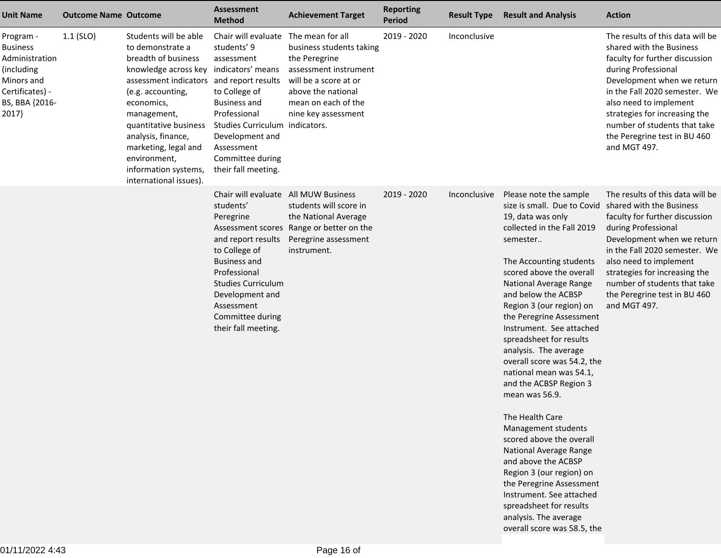| <b>Unit Name</b>                                                                                                         | <b>Outcome Name Outcome</b> |                                                                                                                                                                                                                                                                                                                                 | <b>Assessment</b><br><b>Method</b>                                                                                                                                                                                                                    | <b>Achievement Target</b>                                                                                                                                                           | <b>Reporting</b><br><b>Period</b> | <b>Result Type</b> | <b>Result and Analysis</b>                                                                                                                                                                                                                                                                                                                                                                                                                                                                                                                                                                                                                                                                                                                                                                               | <b>Action</b>                                                                                                                                                                                                                                                                                                                   |
|--------------------------------------------------------------------------------------------------------------------------|-----------------------------|---------------------------------------------------------------------------------------------------------------------------------------------------------------------------------------------------------------------------------------------------------------------------------------------------------------------------------|-------------------------------------------------------------------------------------------------------------------------------------------------------------------------------------------------------------------------------------------------------|-------------------------------------------------------------------------------------------------------------------------------------------------------------------------------------|-----------------------------------|--------------------|----------------------------------------------------------------------------------------------------------------------------------------------------------------------------------------------------------------------------------------------------------------------------------------------------------------------------------------------------------------------------------------------------------------------------------------------------------------------------------------------------------------------------------------------------------------------------------------------------------------------------------------------------------------------------------------------------------------------------------------------------------------------------------------------------------|---------------------------------------------------------------------------------------------------------------------------------------------------------------------------------------------------------------------------------------------------------------------------------------------------------------------------------|
| Program -<br><b>Business</b><br>Administration<br>(including<br>Minors and<br>Certificates) -<br>BS, BBA {2016-<br>2017} | $1.1$ (SLO)                 | Students will be able<br>to demonstrate a<br>breadth of business<br>knowledge across key<br>assessment indicators and report results<br>(e.g. accounting,<br>economics,<br>management,<br>quantitative business<br>analysis, finance,<br>marketing, legal and<br>environment,<br>information systems,<br>international issues). | Chair will evaluate<br>students' 9<br>assessment<br>indicators' means<br>to College of<br>Business and<br>Professional<br>Studies Curriculum indicators.<br>Development and<br>Assessment<br>Committee during<br>their fall meeting.                  | The mean for all<br>business students taking<br>the Peregrine<br>assessment instrument<br>will be a score at or<br>above the national<br>mean on each of the<br>nine key assessment | 2019 - 2020                       | Inconclusive       |                                                                                                                                                                                                                                                                                                                                                                                                                                                                                                                                                                                                                                                                                                                                                                                                          | The results of this data will be<br>shared with the Business<br>faculty for further discussion<br>during Professional<br>Development when we return<br>in the Fall 2020 semester. We<br>also need to implement<br>strategies for increasing the<br>number of students that take<br>the Peregrine test in BU 460<br>and MGT 497. |
|                                                                                                                          |                             |                                                                                                                                                                                                                                                                                                                                 | Chair will evaluate All MUW Business<br>students'<br>Peregrine<br>and report results<br>to College of<br><b>Business and</b><br>Professional<br><b>Studies Curriculum</b><br>Development and<br>Assessment<br>Committee during<br>their fall meeting. | students will score in<br>the National Average<br>Assessment scores Range or better on the<br>Peregrine assessment<br>instrument.                                                   | 2019 - 2020                       | Inconclusive       | Please note the sample<br>size is small. Due to Covid shared with the Business<br>19, data was only<br>collected in the Fall 2019<br>semester<br>The Accounting students<br>scored above the overall<br>National Average Range<br>and below the ACBSP<br>Region 3 (our region) on<br>the Peregrine Assessment<br>Instrument. See attached<br>spreadsheet for results<br>analysis. The average<br>overall score was 54.2, the<br>national mean was 54.1,<br>and the ACBSP Region 3<br>mean was 56.9.<br>The Health Care<br>Management students<br>scored above the overall<br><b>National Average Range</b><br>and above the ACBSP<br>Region 3 (our region) on<br>the Peregrine Assessment<br>Instrument. See attached<br>spreadsheet for results<br>analysis. The average<br>overall score was 58.5, the | The results of this data will be<br>faculty for further discussion<br>during Professional<br>Development when we return<br>in the Fall 2020 semester. We<br>also need to implement<br>strategies for increasing the<br>number of students that take<br>the Peregrine test in BU 460<br>and MGT 497.                             |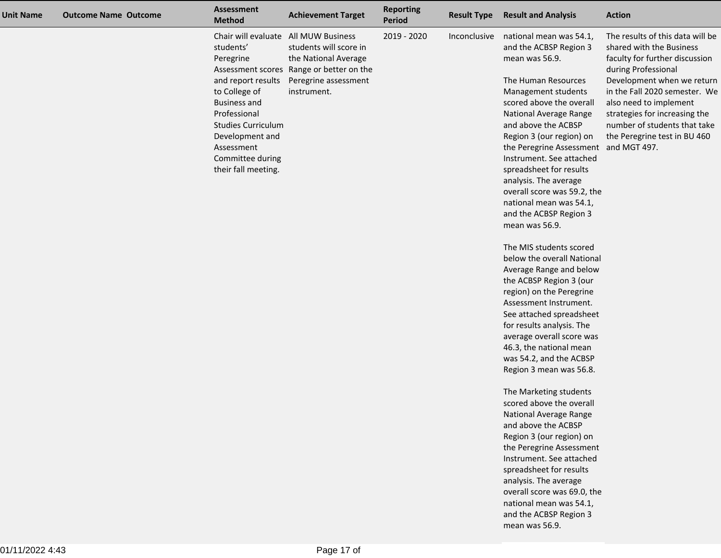| <b>Unit Name</b> | <b>Outcome Name Outcome</b> | <b>Assessment</b><br><b>Method</b>                                                                                                                                                  | <b>Achievement Target</b>                                                              | <b>Reporting</b><br>Period | <b>Result Type</b> | <b>Result and Analysis</b>                                                                                                                                                                                                                                                                                                                                                                                                                                             | <b>Action</b>                                                                                                                                                                                                 |
|------------------|-----------------------------|-------------------------------------------------------------------------------------------------------------------------------------------------------------------------------------|----------------------------------------------------------------------------------------|----------------------------|--------------------|------------------------------------------------------------------------------------------------------------------------------------------------------------------------------------------------------------------------------------------------------------------------------------------------------------------------------------------------------------------------------------------------------------------------------------------------------------------------|---------------------------------------------------------------------------------------------------------------------------------------------------------------------------------------------------------------|
|                  |                             | students'<br>Peregrine                                                                                                                                                              | Chair will evaluate All MUW Business<br>students will score in<br>the National Average | 2019 - 2020                | Inconclusive       | national mean was 54.1,<br>and the ACBSP Region 3<br>mean was 56.9.                                                                                                                                                                                                                                                                                                                                                                                                    | The results of this data will be<br>shared with the Business<br>faculty for further discussion                                                                                                                |
|                  |                             | and report results<br>to College of<br><b>Business and</b><br>Professional<br><b>Studies Curriculum</b><br>Development and<br>Assessment<br>Committee during<br>their fall meeting. | Assessment scores Range or better on the<br>Peregrine assessment<br>instrument.        |                            |                    | The Human Resources<br>Management students<br>scored above the overall<br>National Average Range<br>and above the ACBSP<br>Region 3 (our region) on<br>the Peregrine Assessment and MGT 497.<br>Instrument. See attached<br>spreadsheet for results<br>analysis. The average<br>overall score was 59.2, the<br>national mean was 54.1,<br>and the ACBSP Region 3<br>mean was 56.9.<br>The MIS students scored<br>below the overall National<br>Average Range and below | during Professional<br>Development when we return<br>in the Fall 2020 semester. We<br>also need to implement<br>strategies for increasing the<br>number of students that take<br>the Peregrine test in BU 460 |
|                  |                             |                                                                                                                                                                                     |                                                                                        |                            |                    | the ACBSP Region 3 (our<br>region) on the Peregrine<br>Assessment Instrument.                                                                                                                                                                                                                                                                                                                                                                                          |                                                                                                                                                                                                               |
|                  |                             |                                                                                                                                                                                     |                                                                                        |                            |                    | See attached spreadsheet<br>for results analysis. The<br>average overall score was                                                                                                                                                                                                                                                                                                                                                                                     |                                                                                                                                                                                                               |
|                  |                             |                                                                                                                                                                                     |                                                                                        |                            |                    | 46.3, the national mean<br>was 54.2, and the ACBSP<br>Region 3 mean was 56.8.                                                                                                                                                                                                                                                                                                                                                                                          |                                                                                                                                                                                                               |
|                  |                             |                                                                                                                                                                                     |                                                                                        |                            |                    | The Marketing students<br>scored above the overall<br>National Average Range<br>and above the ACBSP<br>Region 3 (our region) on<br>the Peregrine Assessment<br>Instrument. See attached                                                                                                                                                                                                                                                                                |                                                                                                                                                                                                               |
|                  |                             |                                                                                                                                                                                     |                                                                                        |                            |                    | spreadsheet for results<br>analysis. The average<br>overall score was 69.0, the<br>national mean was 54.1,<br>and the ACBSP Region 3<br>mean was 56.9.                                                                                                                                                                                                                                                                                                                 |                                                                                                                                                                                                               |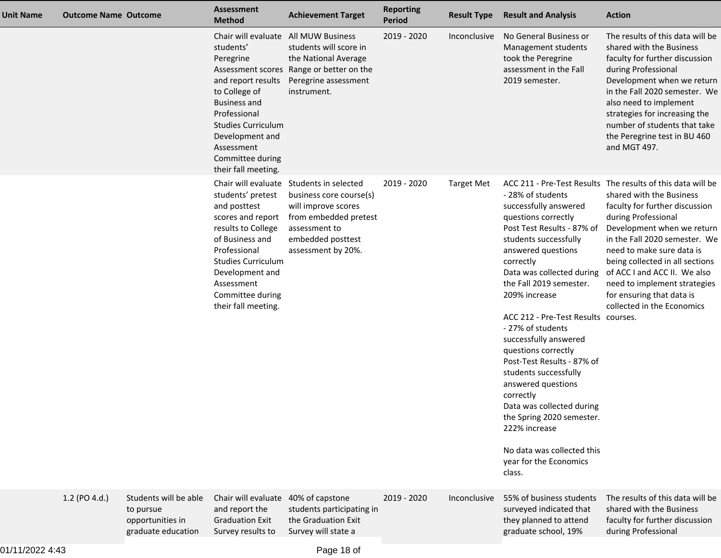| <b>Unit Name</b> | <b>Outcome Name Outcome</b> |                                                                              | <b>Assessment</b><br><b>Method</b>                                                                                                                                                                                                   | <b>Achievement Target</b>                                                                                                                                                       | <b>Reporting</b><br><b>Period</b> | <b>Result Type</b> | <b>Result and Analysis</b>                                                                                                                                                                                                                                                                                                                                                                                                                                                                                                                                                              | <b>Action</b>                                                                                                                                                                                                                                                                                                                                                                                              |
|------------------|-----------------------------|------------------------------------------------------------------------------|--------------------------------------------------------------------------------------------------------------------------------------------------------------------------------------------------------------------------------------|---------------------------------------------------------------------------------------------------------------------------------------------------------------------------------|-----------------------------------|--------------------|-----------------------------------------------------------------------------------------------------------------------------------------------------------------------------------------------------------------------------------------------------------------------------------------------------------------------------------------------------------------------------------------------------------------------------------------------------------------------------------------------------------------------------------------------------------------------------------------|------------------------------------------------------------------------------------------------------------------------------------------------------------------------------------------------------------------------------------------------------------------------------------------------------------------------------------------------------------------------------------------------------------|
|                  |                             |                                                                              | Chair will evaluate<br>students'<br>Peregrine<br>and report results<br>to College of<br><b>Business and</b><br>Professional<br><b>Studies Curriculum</b><br>Development and<br>Assessment<br>Committee during<br>their fall meeting. | All MUW Business<br>students will score in<br>the National Average<br>Assessment scores Range or better on the<br>Peregrine assessment<br>instrument.                           | 2019 - 2020                       | Inconclusive       | No General Business or<br>Management students<br>took the Peregrine<br>assessment in the Fall<br>2019 semester.                                                                                                                                                                                                                                                                                                                                                                                                                                                                         | The results of this data will be<br>shared with the Business<br>faculty for further discussion<br>during Professional<br>Development when we return<br>in the Fall 2020 semester. We<br>also need to implement<br>strategies for increasing the<br>number of students that take<br>the Peregrine test in BU 460<br>and MGT 497.                                                                            |
|                  |                             |                                                                              | students' pretest<br>and posttest<br>scores and report<br>results to College<br>of Business and<br>Professional<br><b>Studies Curriculum</b><br>Development and<br>Assessment<br>Committee during<br>their fall meeting.             | Chair will evaluate Students in selected<br>business core course(s)<br>will improve scores<br>from embedded pretest<br>assessment to<br>embedded posttest<br>assessment by 20%. | 2019 - 2020                       | <b>Target Met</b>  | - 28% of students<br>successfully answered<br>questions correctly<br>Post Test Results - 87% of<br>students successfully<br>answered questions<br>correctly<br>Data was collected during<br>the Fall 2019 semester.<br>209% increase<br>ACC 212 - Pre-Test Results courses.<br>- 27% of students<br>successfully answered<br>questions correctly<br>Post-Test Results - 87% of<br>students successfully<br>answered questions<br>correctly<br>Data was collected during<br>the Spring 2020 semester.<br>222% increase<br>No data was collected this<br>year for the Economics<br>class. | ACC 211 - Pre-Test Results The results of this data will be<br>shared with the Business<br>faculty for further discussion<br>during Professional<br>Development when we return<br>in the Fall 2020 semester. We<br>need to make sure data is<br>being collected in all sections<br>of ACC I and ACC II. We also<br>need to implement strategies<br>for ensuring that data is<br>collected in the Economics |
|                  | 1.2 (PO 4.d.)               | Students will be able<br>to pursue<br>opportunities in<br>graduate education | Chair will evaluate 40% of capstone<br>and report the<br><b>Graduation Exit</b><br>Survey results to                                                                                                                                 | students participating in<br>the Graduation Exit<br>Survey will state a                                                                                                         | 2019 - 2020                       | Inconclusive       | 55% of business students<br>surveyed indicated that<br>they planned to attend<br>graduate school, 19%                                                                                                                                                                                                                                                                                                                                                                                                                                                                                   | The results of this data will be<br>shared with the Business<br>faculty for further discussion<br>during Professional                                                                                                                                                                                                                                                                                      |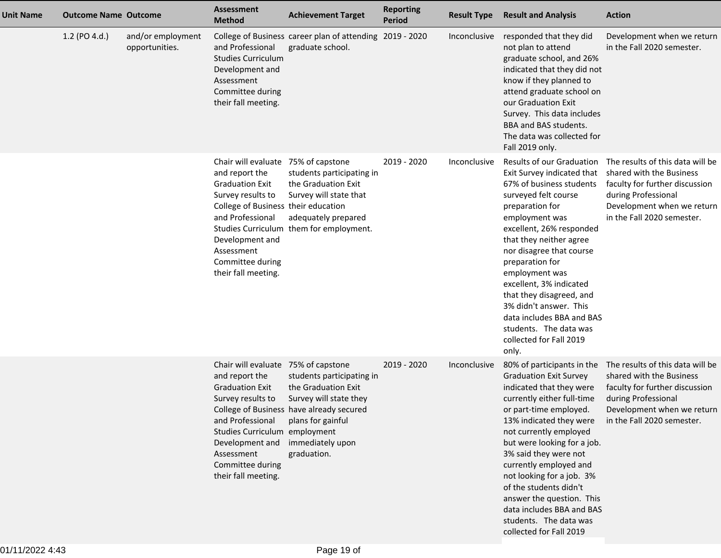| <b>Unit Name</b> | <b>Outcome Name Outcome</b> |                                     | <b>Assessment</b><br><b>Method</b>                                                                                                                                                                                                          | <b>Achievement Target</b>                                                                                                                                                      | <b>Reporting</b><br><b>Period</b> | <b>Result Type</b> | <b>Result and Analysis</b>                                                                                                                                                                                                                                                                                                                                                                                                                                   | <b>Action</b>                                                                                                                                                                                               |
|------------------|-----------------------------|-------------------------------------|---------------------------------------------------------------------------------------------------------------------------------------------------------------------------------------------------------------------------------------------|--------------------------------------------------------------------------------------------------------------------------------------------------------------------------------|-----------------------------------|--------------------|--------------------------------------------------------------------------------------------------------------------------------------------------------------------------------------------------------------------------------------------------------------------------------------------------------------------------------------------------------------------------------------------------------------------------------------------------------------|-------------------------------------------------------------------------------------------------------------------------------------------------------------------------------------------------------------|
|                  | 1.2 (PO 4.d.)               | and/or employment<br>opportunities. | and Professional<br><b>Studies Curriculum</b><br>Development and<br>Assessment<br>Committee during<br>their fall meeting.                                                                                                                   | College of Business career plan of attending 2019 - 2020<br>graduate school.                                                                                                   |                                   | Inconclusive       | responded that they did<br>not plan to attend<br>graduate school, and 26%<br>indicated that they did not<br>know if they planned to<br>attend graduate school on<br>our Graduation Exit<br>Survey. This data includes<br>BBA and BAS students.<br>The data was collected for<br>Fall 2019 only.                                                                                                                                                              | Development when we return<br>in the Fall 2020 semester.                                                                                                                                                    |
|                  |                             |                                     | Chair will evaluate 75% of capstone<br>and report the<br><b>Graduation Exit</b><br>Survey results to<br>College of Business their education<br>and Professional<br>Development and<br>Assessment<br>Committee during<br>their fall meeting. | students participating in<br>the Graduation Exit<br>Survey will state that<br>adequately prepared<br>Studies Curriculum them for employment.                                   | 2019 - 2020                       | Inconclusive       | Exit Survey indicated that<br>67% of business students<br>surveyed felt course<br>preparation for<br>employment was<br>excellent, 26% responded<br>that they neither agree<br>nor disagree that course<br>preparation for<br>employment was<br>excellent, 3% indicated<br>that they disagreed, and<br>3% didn't answer. This<br>data includes BBA and BAS<br>students. The data was<br>collected for Fall 2019<br>only.                                      | Results of our Graduation The results of this data will be<br>shared with the Business<br>faculty for further discussion<br>during Professional<br>Development when we return<br>in the Fall 2020 semester. |
|                  |                             |                                     | Chair will evaluate 75% of capstone<br>and report the<br><b>Graduation Exit</b><br>Survey results to<br>and Professional<br>Studies Curriculum employment<br>Development and<br>Assessment<br>Committee during<br>their fall meeting.       | students participating in<br>the Graduation Exit<br>Survey will state they<br>College of Business have already secured<br>plans for gainful<br>immediately upon<br>graduation. | 2019 - 2020                       | Inconclusive       | 80% of participants in the<br><b>Graduation Exit Survey</b><br>indicated that they were<br>currently either full-time<br>or part-time employed.<br>13% indicated they were<br>not currently employed<br>but were looking for a job.<br>3% said they were not<br>currently employed and<br>not looking for a job. 3%<br>of the students didn't<br>answer the question. This<br>data includes BBA and BAS<br>students. The data was<br>collected for Fall 2019 | The results of this data will be<br>shared with the Business<br>faculty for further discussion<br>during Professional<br>Development when we return<br>in the Fall 2020 semester.                           |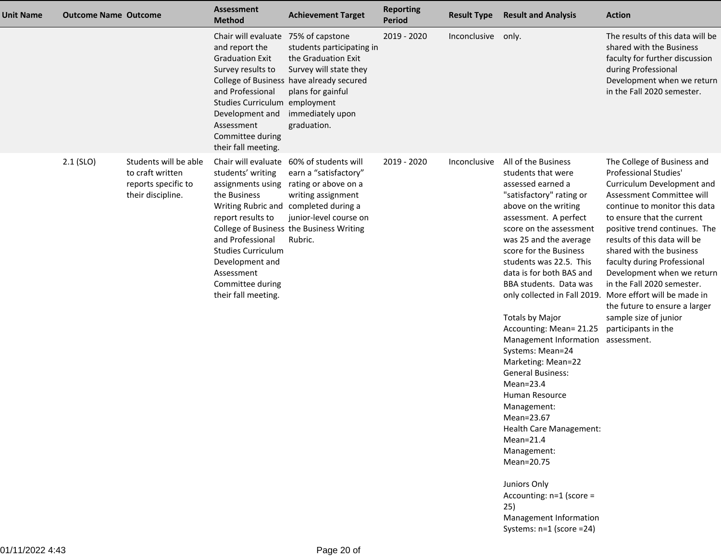| <b>Unit Name</b> | <b>Outcome Name Outcome</b> |                                                                                       | <b>Assessment</b><br><b>Method</b>                                                                                                                                                                                                    | <b>Achievement Target</b>                                                                                                                                                                                             | <b>Reporting</b><br>Period | <b>Result Type</b> | <b>Result and Analysis</b>                                                                                                                                                                                                                                                                                                                                                                                                                                                                                                                                                                                                                                                                                         | <b>Action</b>                                                                                                                                                                                                                                                                                                                                                                                                                                                                                                                      |
|------------------|-----------------------------|---------------------------------------------------------------------------------------|---------------------------------------------------------------------------------------------------------------------------------------------------------------------------------------------------------------------------------------|-----------------------------------------------------------------------------------------------------------------------------------------------------------------------------------------------------------------------|----------------------------|--------------------|--------------------------------------------------------------------------------------------------------------------------------------------------------------------------------------------------------------------------------------------------------------------------------------------------------------------------------------------------------------------------------------------------------------------------------------------------------------------------------------------------------------------------------------------------------------------------------------------------------------------------------------------------------------------------------------------------------------------|------------------------------------------------------------------------------------------------------------------------------------------------------------------------------------------------------------------------------------------------------------------------------------------------------------------------------------------------------------------------------------------------------------------------------------------------------------------------------------------------------------------------------------|
|                  |                             |                                                                                       | Chair will evaluate 75% of capstone<br>and report the<br><b>Graduation Exit</b><br>Survey results to<br>and Professional<br>Studies Curriculum employment<br>Development and<br>Assessment<br>Committee during<br>their fall meeting. | students participating in<br>the Graduation Exit<br>Survey will state they<br>College of Business have already secured<br>plans for gainful<br>immediately upon<br>graduation.                                        | 2019 - 2020                | Inconclusive       | only.                                                                                                                                                                                                                                                                                                                                                                                                                                                                                                                                                                                                                                                                                                              | The results of this data will be<br>shared with the Business<br>faculty for further discussion<br>during Professional<br>Development when we return<br>in the Fall 2020 semester.                                                                                                                                                                                                                                                                                                                                                  |
|                  | $2.1$ (SLO)                 | Students will be able<br>to craft written<br>reports specific to<br>their discipline. | Chair will evaluate<br>students' writing<br>assignments using<br>the Business<br>report results to<br>and Professional<br><b>Studies Curriculum</b><br>Development and<br>Assessment<br>Committee during<br>their fall meeting.       | 60% of students will<br>earn a "satisfactory"<br>rating or above on a<br>writing assignment<br>Writing Rubric and completed during a<br>junior-level course on<br>College of Business the Business Writing<br>Rubric. | 2019 - 2020                | Inconclusive       | All of the Business<br>students that were<br>assessed earned a<br>"satisfactory" rating or<br>above on the writing<br>assessment. A perfect<br>score on the assessment<br>was 25 and the average<br>score for the Business<br>students was 22.5. This<br>data is for both BAS and<br>BBA students. Data was<br><b>Totals by Major</b><br>Accounting: Mean= 21.25<br>Management Information<br>Systems: Mean=24<br>Marketing: Mean=22<br><b>General Business:</b><br>$Mean = 23.4$<br>Human Resource<br>Management:<br>Mean=23.67<br>Health Care Management:<br>$Mean = 21.4$<br>Management:<br>Mean=20.75<br>Juniors Only<br>Accounting: n=1 (score =<br>25)<br>Management Information<br>Systems: n=1 (score =24) | The College of Business and<br>Professional Studies'<br>Curriculum Development and<br>Assessment Committee will<br>continue to monitor this data<br>to ensure that the current<br>positive trend continues. The<br>results of this data will be<br>shared with the business<br>faculty during Professional<br>Development when we return<br>in the Fall 2020 semester.<br>only collected in Fall 2019. More effort will be made in<br>the future to ensure a larger<br>sample size of junior<br>participants in the<br>assessment. |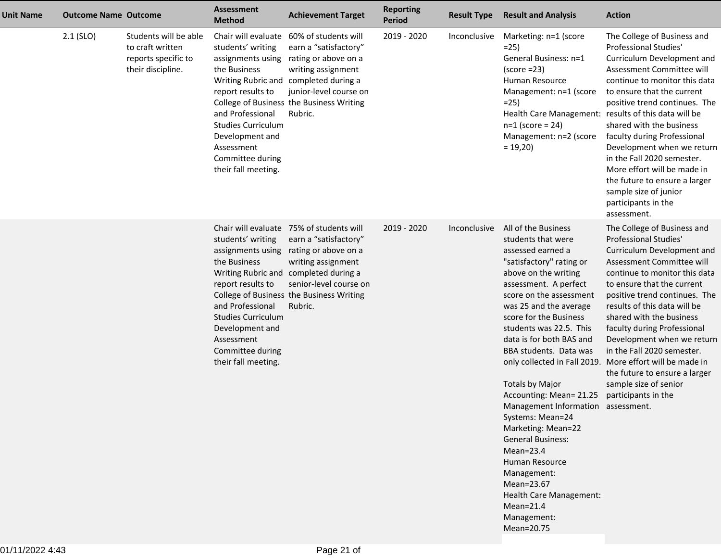| <b>Unit Name</b> | <b>Outcome Name Outcome</b> |                                                                                       | <b>Assessment</b><br><b>Method</b>                                                                                                                                                                                              | <b>Achievement Target</b>                                                                                                                                                                                                                 | <b>Reporting</b><br><b>Period</b> | <b>Result Type</b> | <b>Result and Analysis</b>                                                                                                                                                                                                                                                                                                                                                                                                                                                                                                                                                                                          | <b>Action</b>                                                                                                                                                                                                                                                                                                                                                                                                                                                                                                       |
|------------------|-----------------------------|---------------------------------------------------------------------------------------|---------------------------------------------------------------------------------------------------------------------------------------------------------------------------------------------------------------------------------|-------------------------------------------------------------------------------------------------------------------------------------------------------------------------------------------------------------------------------------------|-----------------------------------|--------------------|---------------------------------------------------------------------------------------------------------------------------------------------------------------------------------------------------------------------------------------------------------------------------------------------------------------------------------------------------------------------------------------------------------------------------------------------------------------------------------------------------------------------------------------------------------------------------------------------------------------------|---------------------------------------------------------------------------------------------------------------------------------------------------------------------------------------------------------------------------------------------------------------------------------------------------------------------------------------------------------------------------------------------------------------------------------------------------------------------------------------------------------------------|
|                  | $2.1$ (SLO)                 | Students will be able<br>to craft written<br>reports specific to<br>their discipline. | Chair will evaluate<br>students' writing<br>assignments using<br>the Business<br>report results to<br>and Professional<br><b>Studies Curriculum</b><br>Development and<br>Assessment<br>Committee during<br>their fall meeting. | 60% of students will<br>earn a "satisfactory"<br>rating or above on a<br>writing assignment<br>Writing Rubric and completed during a<br>junior-level course on<br>College of Business the Business Writing<br>Rubric.                     | 2019 - 2020                       | Inconclusive       | Marketing: n=1 (score<br>$=25$<br>General Business: n=1<br>$(score = 23)$<br>Human Resource<br>Management: n=1 (score<br>$=25$<br>Health Care Management: results of this data will be<br>$n=1$ (score = 24)<br>Management: n=2 (score<br>$= 19,20$                                                                                                                                                                                                                                                                                                                                                                 | The College of Business and<br>Professional Studies'<br>Curriculum Development and<br>Assessment Committee will<br>continue to monitor this data<br>to ensure that the current<br>positive trend continues. The<br>shared with the business<br>faculty during Professional<br>Development when we return<br>in the Fall 2020 semester.<br>More effort will be made in<br>the future to ensure a larger<br>sample size of junior<br>participants in the<br>assessment.                                               |
|                  |                             |                                                                                       | students' writing<br>assignments using<br>the Business<br>report results to<br>and Professional<br><b>Studies Curriculum</b><br>Development and<br>Assessment<br>Committee during<br>their fall meeting.                        | Chair will evaluate 75% of students will<br>earn a "satisfactory"<br>rating or above on a<br>writing assignment<br>Writing Rubric and completed during a<br>senior-level course on<br>College of Business the Business Writing<br>Rubric. | 2019 - 2020                       | Inconclusive       | All of the Business<br>students that were<br>assessed earned a<br>"satisfactory" rating or<br>above on the writing<br>assessment. A perfect<br>score on the assessment<br>was 25 and the average<br>score for the Business<br>students was 22.5. This<br>data is for both BAS and<br>BBA students. Data was<br><b>Totals by Major</b><br>Accounting: Mean= 21.25<br>Management Information assessment.<br>Systems: Mean=24<br>Marketing: Mean=22<br><b>General Business:</b><br>$Mean = 23.4$<br>Human Resource<br>Management:<br>Mean=23.67<br>Health Care Management:<br>$Mean=21.4$<br>Management:<br>Mean=20.75 | The College of Business and<br>Professional Studies'<br>Curriculum Development and<br>Assessment Committee will<br>continue to monitor this data<br>to ensure that the current<br>positive trend continues. The<br>results of this data will be<br>shared with the business<br>faculty during Professional<br>Development when we return<br>in the Fall 2020 semester.<br>only collected in Fall 2019. More effort will be made in<br>the future to ensure a larger<br>sample size of senior<br>participants in the |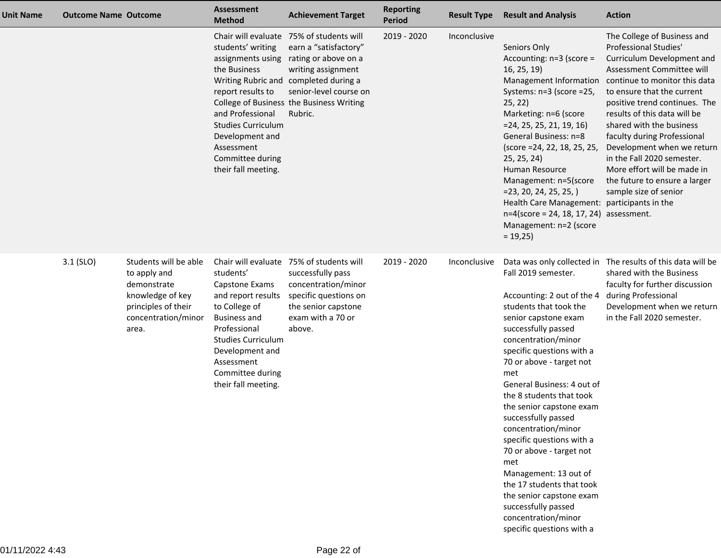| <b>Unit Name</b> | <b>Outcome Name Outcome</b> |                                                                                                                                 | <b>Assessment</b><br><b>Method</b>                                                                                                                                                                                                        | <b>Achievement Target</b>                                                                                                                                                                                             | <b>Reporting</b><br><b>Period</b> | <b>Result Type</b> | <b>Result and Analysis</b>                                                                                                                                                                                                                                                                                                                                                                                                                                                                                                                                                         | <b>Action</b>                                                                                                                                                                                                                                                                                                                                                                                                                                                                          |
|------------------|-----------------------------|---------------------------------------------------------------------------------------------------------------------------------|-------------------------------------------------------------------------------------------------------------------------------------------------------------------------------------------------------------------------------------------|-----------------------------------------------------------------------------------------------------------------------------------------------------------------------------------------------------------------------|-----------------------------------|--------------------|------------------------------------------------------------------------------------------------------------------------------------------------------------------------------------------------------------------------------------------------------------------------------------------------------------------------------------------------------------------------------------------------------------------------------------------------------------------------------------------------------------------------------------------------------------------------------------|----------------------------------------------------------------------------------------------------------------------------------------------------------------------------------------------------------------------------------------------------------------------------------------------------------------------------------------------------------------------------------------------------------------------------------------------------------------------------------------|
|                  |                             |                                                                                                                                 | Chair will evaluate<br>students' writing<br>assignments using<br>the Business<br>report results to<br>and Professional<br><b>Studies Curriculum</b><br>Development and<br>Assessment<br>Committee during<br>their fall meeting.           | 75% of students will<br>earn a "satisfactory"<br>rating or above on a<br>writing assignment<br>Writing Rubric and completed during a<br>senior-level course on<br>College of Business the Business Writing<br>Rubric. | 2019 - 2020                       | Inconclusive       | Seniors Only<br>Accounting: n=3 (score =<br>16, 25, 19<br>Systems: n=3 (score =25,<br>25, 22)<br>Marketing: n=6 (score<br>$=$ 24, 25, 25, 21, 19, 16)<br>General Business: n=8<br>(score =24, 22, 18, 25, 25,<br>25, 25, 24)<br>Human Resource<br>Management: n=5(score<br>$= 23, 20, 24, 25, 25, )$<br>Health Care Management: participants in the<br>$n=4$ (score = 24, 18, 17, 24) assessment.<br>Management: n=2 (score<br>$= 19,25$                                                                                                                                           | The College of Business and<br>Professional Studies'<br>Curriculum Development and<br>Assessment Committee will<br>Management Information continue to monitor this data<br>to ensure that the current<br>positive trend continues. The<br>results of this data will be<br>shared with the business<br>faculty during Professional<br>Development when we return<br>in the Fall 2020 semester.<br>More effort will be made in<br>the future to ensure a larger<br>sample size of senior |
|                  | $3.1$ (SLO)                 | Students will be able<br>to apply and<br>demonstrate<br>knowledge of key<br>principles of their<br>concentration/minor<br>area. | Chair will evaluate<br>students'<br>Capstone Exams<br>and report results<br>to College of<br><b>Business and</b><br>Professional<br><b>Studies Curriculum</b><br>Development and<br>Assessment<br>Committee during<br>their fall meeting. | 75% of students will<br>successfully pass<br>concentration/minor<br>specific questions on<br>the senior capstone<br>exam with a 70 or<br>above.                                                                       | 2019 - 2020                       | Inconclusive       | Fall 2019 semester.<br>Accounting: 2 out of the 4<br>students that took the<br>senior capstone exam<br>successfully passed<br>concentration/minor<br>specific questions with a<br>70 or above - target not<br>met<br>General Business: 4 out of<br>the 8 students that took<br>the senior capstone exam<br>successfully passed<br>concentration/minor<br>specific questions with a<br>70 or above - target not<br>met<br>Management: 13 out of<br>the 17 students that took<br>the senior capstone exam<br>successfully passed<br>concentration/minor<br>specific questions with a | Data was only collected in The results of this data will be<br>shared with the Business<br>faculty for further discussion<br>during Professional<br>Development when we return<br>in the Fall 2020 semester.                                                                                                                                                                                                                                                                           |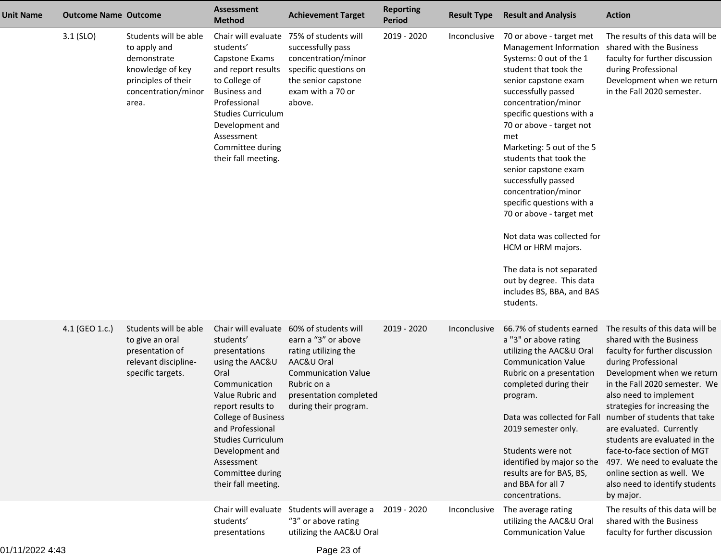| Unit Name | <b>Outcome Name Outcome</b> |                                                                                                                                 | <b>Assessment</b><br><b>Method</b>                                                                                                                                                                                                                                                                                       | <b>Achievement Target</b>                                                                                                                                                                                    | <b>Reporting</b><br><b>Period</b> | <b>Result Type</b>           | <b>Result and Analysis</b>                                                                                                                                                                                                                                                                                                                                                                                                                                                                                                                                                                | <b>Action</b>                                                                                                                                                                                                                                                                                                                                                                                                                                                                                                                                            |
|-----------|-----------------------------|---------------------------------------------------------------------------------------------------------------------------------|--------------------------------------------------------------------------------------------------------------------------------------------------------------------------------------------------------------------------------------------------------------------------------------------------------------------------|--------------------------------------------------------------------------------------------------------------------------------------------------------------------------------------------------------------|-----------------------------------|------------------------------|-------------------------------------------------------------------------------------------------------------------------------------------------------------------------------------------------------------------------------------------------------------------------------------------------------------------------------------------------------------------------------------------------------------------------------------------------------------------------------------------------------------------------------------------------------------------------------------------|----------------------------------------------------------------------------------------------------------------------------------------------------------------------------------------------------------------------------------------------------------------------------------------------------------------------------------------------------------------------------------------------------------------------------------------------------------------------------------------------------------------------------------------------------------|
|           | $3.1$ (SLO)                 | Students will be able<br>to apply and<br>demonstrate<br>knowledge of key<br>principles of their<br>concentration/minor<br>area. | Chair will evaluate<br>students'<br>Capstone Exams<br>and report results<br>to College of<br><b>Business and</b><br>Professional<br><b>Studies Curriculum</b><br>Development and<br>Assessment<br>Committee during<br>their fall meeting.                                                                                | 75% of students will<br>successfully pass<br>concentration/minor<br>specific questions on<br>the senior capstone<br>exam with a 70 or<br>above.                                                              | 2019 - 2020                       | Inconclusive                 | 70 or above - target met<br>Management Information<br>Systems: 0 out of the 1<br>student that took the<br>senior capstone exam<br>successfully passed<br>concentration/minor<br>specific questions with a<br>70 or above - target not<br>met<br>Marketing: 5 out of the 5<br>students that took the<br>senior capstone exam<br>successfully passed<br>concentration/minor<br>specific questions with a<br>70 or above - target met<br>Not data was collected for<br>HCM or HRM majors.<br>The data is not separated<br>out by degree. This data<br>includes BS, BBA, and BAS<br>students. | The results of this data will be<br>shared with the Business<br>faculty for further discussion<br>during Professional<br>Development when we return<br>in the Fall 2020 semester.                                                                                                                                                                                                                                                                                                                                                                        |
|           | 4.1 (GEO 1.c.)              | Students will be able<br>to give an oral<br>presentation of<br>relevant discipline-<br>specific targets.                        | Chair will evaluate<br>students'<br>presentations<br>using the AAC&U<br>Oral<br>Communication<br>Value Rubric and<br>report results to<br><b>College of Business</b><br>and Professional<br><b>Studies Curriculum</b><br>Development and<br>Assessment<br>Committee during<br>their fall meeting.<br>Chair will evaluate | 60% of students will<br>earn a "3" or above<br>rating utilizing the<br>AAC&U Oral<br><b>Communication Value</b><br>Rubric on a<br>presentation completed<br>during their program.<br>Students will average a | 2019 - 2020<br>2019 - 2020        | Inconclusive<br>Inconclusive | 66.7% of students earned<br>a "3" or above rating<br>utilizing the AAC&U Oral<br><b>Communication Value</b><br>Rubric on a presentation<br>completed during their<br>program.<br>2019 semester only.<br>Students were not<br>identified by major so the<br>results are for BAS, BS,<br>and BBA for all 7<br>concentrations.<br>The average rating                                                                                                                                                                                                                                         | The results of this data will be<br>shared with the Business<br>faculty for further discussion<br>during Professional<br>Development when we return<br>in the Fall 2020 semester. We<br>also need to implement<br>strategies for increasing the<br>Data was collected for Fall number of students that take<br>are evaluated. Currently<br>students are evaluated in the<br>face-to-face section of MGT<br>497. We need to evaluate the<br>online section as well. We<br>also need to identify students<br>by major.<br>The results of this data will be |
|           |                             |                                                                                                                                 | students'<br>presentations                                                                                                                                                                                                                                                                                               | "3" or above rating<br>utilizing the AAC&U Oral                                                                                                                                                              |                                   |                              | utilizing the AAC&U Oral<br><b>Communication Value</b>                                                                                                                                                                                                                                                                                                                                                                                                                                                                                                                                    | shared with the Business<br>faculty for further discussion                                                                                                                                                                                                                                                                                                                                                                                                                                                                                               |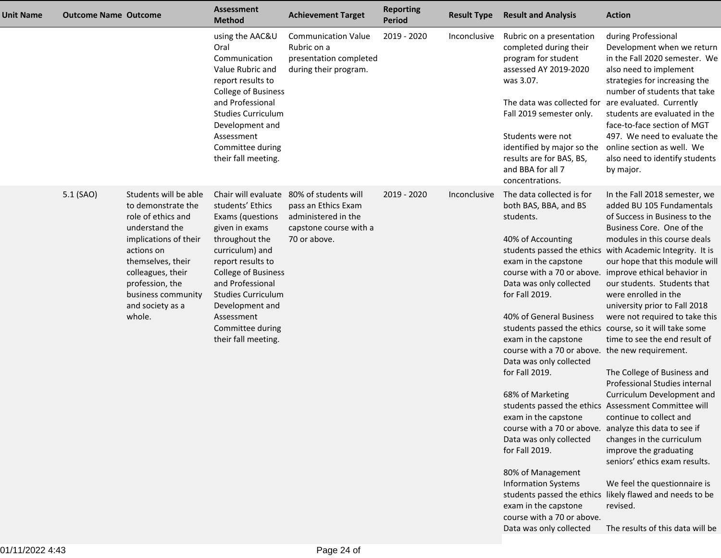| <b>Unit Name</b> | <b>Outcome Name Outcome</b> |                                                                                                                                                                                                                                             | <b>Assessment</b><br><b>Method</b>                                                                                                                                                                                                                                                                 | <b>Achievement Target</b>                                                                                    | <b>Reporting</b><br>Period | <b>Result Type</b> | <b>Result and Analysis</b>                                                                                                                                                                                                                                                                                                                                                                                                                                                                                                                                                                                                                                     | <b>Action</b>                                                                                                                                                                                                                                                                                                                                                                                                                                                                                                                                                                                                                                                                                                                                                                                                                                                                                     |
|------------------|-----------------------------|---------------------------------------------------------------------------------------------------------------------------------------------------------------------------------------------------------------------------------------------|----------------------------------------------------------------------------------------------------------------------------------------------------------------------------------------------------------------------------------------------------------------------------------------------------|--------------------------------------------------------------------------------------------------------------|----------------------------|--------------------|----------------------------------------------------------------------------------------------------------------------------------------------------------------------------------------------------------------------------------------------------------------------------------------------------------------------------------------------------------------------------------------------------------------------------------------------------------------------------------------------------------------------------------------------------------------------------------------------------------------------------------------------------------------|---------------------------------------------------------------------------------------------------------------------------------------------------------------------------------------------------------------------------------------------------------------------------------------------------------------------------------------------------------------------------------------------------------------------------------------------------------------------------------------------------------------------------------------------------------------------------------------------------------------------------------------------------------------------------------------------------------------------------------------------------------------------------------------------------------------------------------------------------------------------------------------------------|
|                  |                             |                                                                                                                                                                                                                                             | using the AAC&U<br>Oral<br>Communication<br>Value Rubric and<br>report results to<br>College of Business<br>and Professional<br><b>Studies Curriculum</b><br>Development and<br>Assessment<br>Committee during<br>their fall meeting.                                                              | <b>Communication Value</b><br>Rubric on a<br>presentation completed<br>during their program.                 | 2019 - 2020                | Inconclusive       | Rubric on a presentation<br>completed during their<br>program for student<br>assessed AY 2019-2020<br>was 3.07.<br>The data was collected for<br>Fall 2019 semester only.<br>Students were not<br>identified by major so the<br>results are for BAS, BS,<br>and BBA for all 7<br>concentrations.                                                                                                                                                                                                                                                                                                                                                               | during Professional<br>Development when we return<br>in the Fall 2020 semester. We<br>also need to implement<br>strategies for increasing the<br>number of students that take<br>are evaluated. Currently<br>students are evaluated in the<br>face-to-face section of MGT<br>497. We need to evaluate the<br>online section as well. We<br>also need to identify students<br>by major.                                                                                                                                                                                                                                                                                                                                                                                                                                                                                                            |
|                  | 5.1 (SAO)                   | Students will be able<br>to demonstrate the<br>role of ethics and<br>understand the<br>implications of their<br>actions on<br>themselves, their<br>colleagues, their<br>profession, the<br>business community<br>and society as a<br>whole. | Chair will evaluate<br>students' Ethics<br>Exams (questions<br>given in exams<br>throughout the<br>curriculum) and<br>report results to<br><b>College of Business</b><br>and Professional<br><b>Studies Curriculum</b><br>Development and<br>Assessment<br>Committee during<br>their fall meeting. | 80% of students will<br>pass an Ethics Exam<br>administered in the<br>capstone course with a<br>70 or above. | 2019 - 2020                | Inconclusive       | The data collected is for<br>both BAS, BBA, and BS<br>students.<br>40% of Accounting<br>exam in the capstone<br>Data was only collected<br>for Fall 2019.<br>40% of General Business<br>students passed the ethics course, so it will take some<br>exam in the capstone<br>course with a 70 or above. the new requirement.<br>Data was only collected<br>for Fall 2019.<br>68% of Marketing<br>exam in the capstone<br>course with a 70 or above. analyze this data to see if<br>Data was only collected<br>for Fall 2019.<br>80% of Management<br><b>Information Systems</b><br>exam in the capstone<br>course with a 70 or above.<br>Data was only collected | In the Fall 2018 semester, we<br>added BU 105 Fundamentals<br>of Success in Business to the<br>Business Core. One of the<br>modules in this course deals<br>students passed the ethics with Academic Integrity. It is<br>our hope that this module will<br>course with a 70 or above. improve ethical behavior in<br>our students. Students that<br>were enrolled in the<br>university prior to Fall 2018<br>were not required to take this<br>time to see the end result of<br>The College of Business and<br>Professional Studies internal<br>Curriculum Development and<br>students passed the ethics Assessment Committee will<br>continue to collect and<br>changes in the curriculum<br>improve the graduating<br>seniors' ethics exam results.<br>We feel the questionnaire is<br>students passed the ethics likely flawed and needs to be<br>revised.<br>The results of this data will be |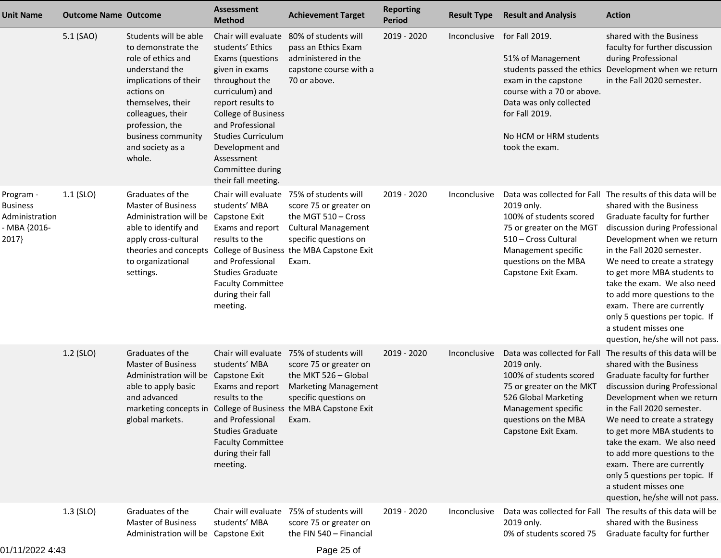| <b>Unit Name</b>                                                        | <b>Outcome Name Outcome</b> |                                                                                                                                                                                                                                             | <b>Assessment</b><br><b>Method</b>                                                                                                                                                                                                                                                                 | <b>Achievement Target</b>                                                                                                                                                                                                      | <b>Reporting</b><br><b>Period</b> | <b>Result Type</b> | <b>Result and Analysis</b>                                                                                                                                                         | <b>Action</b>                                                                                                                                                                                                                                                                                                                                                                                                                                                                  |
|-------------------------------------------------------------------------|-----------------------------|---------------------------------------------------------------------------------------------------------------------------------------------------------------------------------------------------------------------------------------------|----------------------------------------------------------------------------------------------------------------------------------------------------------------------------------------------------------------------------------------------------------------------------------------------------|--------------------------------------------------------------------------------------------------------------------------------------------------------------------------------------------------------------------------------|-----------------------------------|--------------------|------------------------------------------------------------------------------------------------------------------------------------------------------------------------------------|--------------------------------------------------------------------------------------------------------------------------------------------------------------------------------------------------------------------------------------------------------------------------------------------------------------------------------------------------------------------------------------------------------------------------------------------------------------------------------|
|                                                                         | 5.1 (SAO)                   | Students will be able<br>to demonstrate the<br>role of ethics and<br>understand the<br>implications of their<br>actions on<br>themselves, their<br>colleagues, their<br>profession, the<br>business community<br>and society as a<br>whole. | Chair will evaluate<br>students' Ethics<br>Exams (questions<br>given in exams<br>throughout the<br>curriculum) and<br>report results to<br><b>College of Business</b><br>and Professional<br><b>Studies Curriculum</b><br>Development and<br>Assessment<br>Committee during<br>their fall meeting. | 80% of students will<br>pass an Ethics Exam<br>administered in the<br>capstone course with a<br>70 or above.                                                                                                                   | 2019 - 2020                       | Inconclusive       | for Fall 2019.<br>51% of Management<br>exam in the capstone<br>course with a 70 or above.<br>Data was only collected<br>for Fall 2019.<br>No HCM or HRM students<br>took the exam. | shared with the Business<br>faculty for further discussion<br>during Professional<br>students passed the ethics Development when we return<br>in the Fall 2020 semester.                                                                                                                                                                                                                                                                                                       |
| Program -<br><b>Business</b><br>Administration<br>- MBA {2016-<br>2017} | $1.1$ (SLO)                 | Graduates of the<br><b>Master of Business</b><br>Administration will be Capstone Exit<br>able to identify and<br>apply cross-cultural<br>theories and concepts<br>to organizational<br>settings.                                            | students' MBA<br>Exams and report<br>results to the<br>and Professional<br><b>Studies Graduate</b><br><b>Faculty Committee</b><br>during their fall<br>meeting.                                                                                                                                    | Chair will evaluate 75% of students will<br>score 75 or greater on<br>the MGT 510 - Cross<br><b>Cultural Management</b><br>specific questions on<br>College of Business the MBA Capstone Exit<br>Exam.                         | 2019 - 2020                       | Inconclusive       | 2019 only.<br>100% of students scored<br>75 or greater on the MGT<br>510 - Cross Cultural<br>Management specific<br>questions on the MBA<br>Capstone Exit Exam.                    | Data was collected for Fall The results of this data will be<br>shared with the Business<br>Graduate faculty for further<br>discussion during Professional<br>Development when we return<br>in the Fall 2020 semester.<br>We need to create a strategy<br>to get more MBA students to<br>take the exam. We also need<br>to add more questions to the<br>exam. There are currently<br>only 5 questions per topic. If<br>a student misses one<br>question, he/she will not pass. |
|                                                                         | $1.2$ (SLO)                 | Graduates of the<br><b>Master of Business</b><br>Administration will be Capstone Exit<br>able to apply basic<br>and advanced<br>global markets.                                                                                             | students' MBA<br>Exams and report<br>results to the<br>and Professional<br><b>Studies Graduate</b><br><b>Faculty Committee</b><br>during their fall<br>meeting.                                                                                                                                    | Chair will evaluate 75% of students will<br>score 75 or greater on<br>the MKT 526 - Global<br><b>Marketing Management</b><br>specific questions on<br>marketing concepts in College of Business the MBA Capstone Exit<br>Exam. | 2019 - 2020                       | Inconclusive       | 2019 only.<br>100% of students scored<br>75 or greater on the MKT<br>526 Global Marketing<br>Management specific<br>questions on the MBA<br>Capstone Exit Exam.                    | Data was collected for Fall The results of this data will be<br>shared with the Business<br>Graduate faculty for further<br>discussion during Professional<br>Development when we return<br>in the Fall 2020 semester.<br>We need to create a strategy<br>to get more MBA students to<br>take the exam. We also need<br>to add more questions to the<br>exam. There are currently<br>only 5 questions per topic. If<br>a student misses one<br>question, he/she will not pass. |
|                                                                         | $1.3$ (SLO)                 | Graduates of the<br><b>Master of Business</b><br>Administration will be Capstone Exit                                                                                                                                                       | students' MBA                                                                                                                                                                                                                                                                                      | Chair will evaluate 75% of students will<br>score 75 or greater on<br>the FIN 540 - Financial                                                                                                                                  | 2019 - 2020                       | Inconclusive       | 2019 only.<br>0% of students scored 75                                                                                                                                             | Data was collected for Fall The results of this data will be<br>shared with the Business<br>Graduate faculty for further                                                                                                                                                                                                                                                                                                                                                       |
| 01/11/2022 4:43                                                         |                             |                                                                                                                                                                                                                                             |                                                                                                                                                                                                                                                                                                    | Page 25 of                                                                                                                                                                                                                     |                                   |                    |                                                                                                                                                                                    |                                                                                                                                                                                                                                                                                                                                                                                                                                                                                |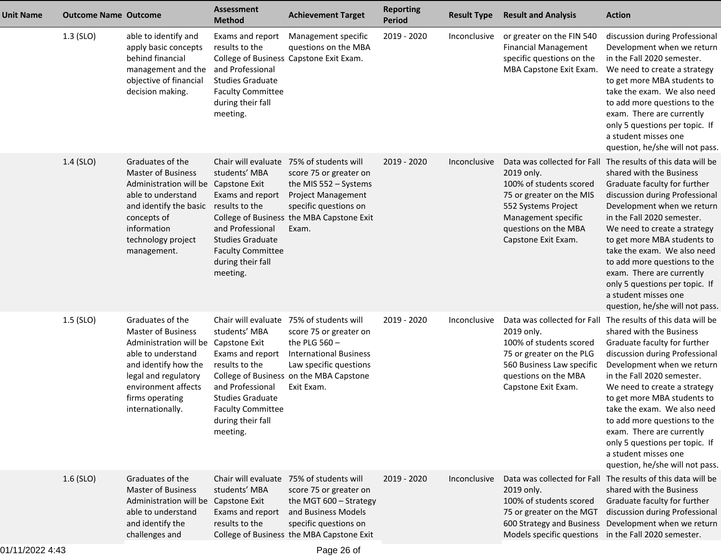| <b>Unit Name</b> | <b>Outcome Name Outcome</b> |                                                                                                                                                                                                                           | <b>Assessment</b><br><b>Method</b>                                                                                                                              | <b>Achievement Target</b>                                                                                                                                                                                 | <b>Reporting</b><br>Period | <b>Result Type</b> | <b>Result and Analysis</b>                                                                                                                                     | <b>Action</b>                                                                                                                                                                                                                                                                                                                                                                                                                                                                  |
|------------------|-----------------------------|---------------------------------------------------------------------------------------------------------------------------------------------------------------------------------------------------------------------------|-----------------------------------------------------------------------------------------------------------------------------------------------------------------|-----------------------------------------------------------------------------------------------------------------------------------------------------------------------------------------------------------|----------------------------|--------------------|----------------------------------------------------------------------------------------------------------------------------------------------------------------|--------------------------------------------------------------------------------------------------------------------------------------------------------------------------------------------------------------------------------------------------------------------------------------------------------------------------------------------------------------------------------------------------------------------------------------------------------------------------------|
|                  | $1.3$ (SLO)                 | able to identify and<br>apply basic concepts<br>behind financial<br>management and the<br>objective of financial<br>decision making.                                                                                      | Exams and report<br>results to the<br>and Professional<br><b>Studies Graduate</b><br><b>Faculty Committee</b><br>during their fall<br>meeting.                  | Management specific<br>questions on the MBA<br>College of Business Capstone Exit Exam.                                                                                                                    | 2019 - 2020                | Inconclusive       | or greater on the FIN 540<br><b>Financial Management</b><br>specific questions on the<br>MBA Capstone Exit Exam.                                               | discussion during Professional<br>Development when we return<br>in the Fall 2020 semester.<br>We need to create a strategy<br>to get more MBA students to<br>take the exam. We also need<br>to add more questions to the<br>exam. There are currently<br>only 5 questions per topic. If<br>a student misses one<br>question, he/she will not pass.                                                                                                                             |
|                  | 1.4 (SLO)                   | Graduates of the<br><b>Master of Business</b><br>Administration will be Capstone Exit<br>able to understand<br>and identify the basic<br>concepts of<br>information<br>technology project<br>management.                  | students' MBA<br>Exams and report<br>results to the<br>and Professional<br><b>Studies Graduate</b><br><b>Faculty Committee</b><br>during their fall<br>meeting. | Chair will evaluate 75% of students will<br>score 75 or greater on<br>the MIS 552 - Systems<br>Project Management<br>specific questions on<br>College of Business the MBA Capstone Exit<br>Exam.          | 2019 - 2020                | Inconclusive       | 2019 only.<br>100% of students scored<br>75 or greater on the MIS<br>552 Systems Project<br>Management specific<br>questions on the MBA<br>Capstone Exit Exam. | Data was collected for Fall The results of this data will be<br>shared with the Business<br>Graduate faculty for further<br>discussion during Professional<br>Development when we return<br>in the Fall 2020 semester.<br>We need to create a strategy<br>to get more MBA students to<br>take the exam. We also need<br>to add more questions to the<br>exam. There are currently<br>only 5 questions per topic. If<br>a student misses one<br>question, he/she will not pass. |
|                  | 1.5 (SLO)                   | Graduates of the<br><b>Master of Business</b><br>Administration will be Capstone Exit<br>able to understand<br>and identify how the<br>legal and regulatory<br>environment affects<br>firms operating<br>internationally. | students' MBA<br>Exams and report<br>results to the<br>and Professional<br><b>Studies Graduate</b><br><b>Faculty Committee</b><br>during their fall<br>meeting. | Chair will evaluate 75% of students will<br>score 75 or greater on<br>the PLG $560 -$<br><b>International Business</b><br>Law specific questions<br>College of Business on the MBA Capstone<br>Exit Exam. | 2019 - 2020                | Inconclusive       | 2019 only.<br>100% of students scored<br>75 or greater on the PLG<br>560 Business Law specific<br>questions on the MBA<br>Capstone Exit Exam.                  | Data was collected for Fall The results of this data will be<br>shared with the Business<br>Graduate faculty for further<br>discussion during Professional<br>Development when we return<br>in the Fall 2020 semester.<br>We need to create a strategy<br>to get more MBA students to<br>take the exam. We also need<br>to add more questions to the<br>exam. There are currently<br>only 5 questions per topic. If<br>a student misses one<br>question, he/she will not pass. |
|                  | $1.6$ (SLO)                 | Graduates of the<br><b>Master of Business</b><br>Administration will be Capstone Exit<br>able to understand<br>and identify the<br>challenges and                                                                         | students' MBA<br>Exams and report<br>results to the                                                                                                             | Chair will evaluate 75% of students will<br>score 75 or greater on<br>the MGT 600 - Strategy<br>and Business Models<br>specific questions on<br>College of Business the MBA Capstone Exit                 | 2019 - 2020                | Inconclusive       | 2019 only.<br>100% of students scored<br>75 or greater on the MGT<br>Models specific questions in the Fall 2020 semester.                                      | Data was collected for Fall The results of this data will be<br>shared with the Business<br>Graduate faculty for further<br>discussion during Professional<br>600 Strategy and Business Development when we return                                                                                                                                                                                                                                                             |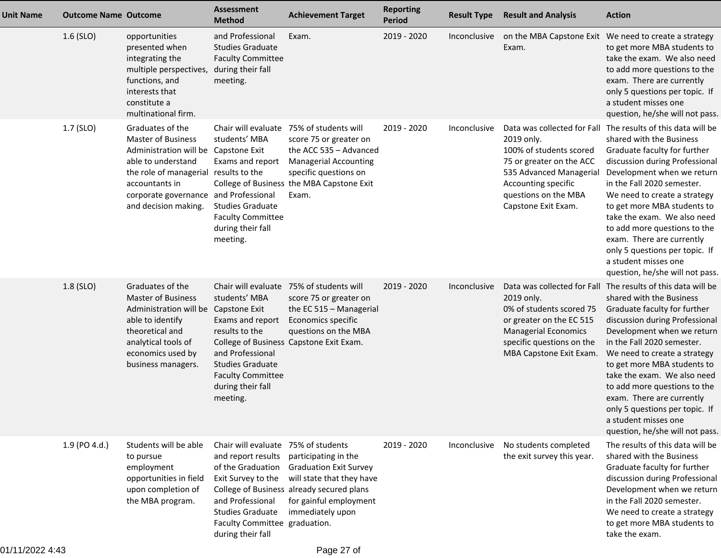| <b>Unit Name</b> | <b>Outcome Name Outcome</b> |                                                                                                                                                                                                                                         | <b>Assessment</b><br><b>Method</b>                                                                                                                                                                        | <b>Achievement Target</b>                                                                                                                                                               | <b>Reporting</b><br><b>Period</b> | <b>Result Type</b> | <b>Result and Analysis</b>                                                                                                                                         | <b>Action</b>                                                                                                                                                                                                                                                                                                                                                                                                                                                                  |
|------------------|-----------------------------|-----------------------------------------------------------------------------------------------------------------------------------------------------------------------------------------------------------------------------------------|-----------------------------------------------------------------------------------------------------------------------------------------------------------------------------------------------------------|-----------------------------------------------------------------------------------------------------------------------------------------------------------------------------------------|-----------------------------------|--------------------|--------------------------------------------------------------------------------------------------------------------------------------------------------------------|--------------------------------------------------------------------------------------------------------------------------------------------------------------------------------------------------------------------------------------------------------------------------------------------------------------------------------------------------------------------------------------------------------------------------------------------------------------------------------|
|                  | $1.6$ (SLO)                 | opportunities<br>presented when<br>integrating the<br>multiple perspectives,<br>functions, and<br>interests that<br>constitute a<br>multinational firm.                                                                                 | and Professional<br><b>Studies Graduate</b><br><b>Faculty Committee</b><br>during their fall<br>meeting.                                                                                                  | Exam.                                                                                                                                                                                   | 2019 - 2020                       | Inconclusive       | Exam.                                                                                                                                                              | on the MBA Capstone Exit We need to create a strategy<br>to get more MBA students to<br>take the exam. We also need<br>to add more questions to the<br>exam. There are currently<br>only 5 questions per topic. If<br>a student misses one<br>question, he/she will not pass.                                                                                                                                                                                                  |
|                  | 1.7 (SLO)                   | Graduates of the<br><b>Master of Business</b><br>Administration will be Capstone Exit<br>able to understand<br>the role of managerial results to the<br>accountants in<br>corporate governance and Professional<br>and decision making. | Chair will evaluate<br>students' MBA<br>Exams and report<br><b>Studies Graduate</b><br><b>Faculty Committee</b><br>during their fall<br>meeting.                                                          | 75% of students will<br>score 75 or greater on<br>the ACC 535 - Advanced<br><b>Managerial Accounting</b><br>specific questions on<br>College of Business the MBA Capstone Exit<br>Exam. | 2019 - 2020                       | Inconclusive       | 2019 only.<br>100% of students scored<br>75 or greater on the ACC<br>535 Advanced Managerial<br>Accounting specific<br>questions on the MBA<br>Capstone Exit Exam. | Data was collected for Fall The results of this data will be<br>shared with the Business<br>Graduate faculty for further<br>discussion during Professional<br>Development when we return<br>in the Fall 2020 semester.<br>We need to create a strategy<br>to get more MBA students to<br>take the exam. We also need<br>to add more questions to the<br>exam. There are currently<br>only 5 questions per topic. If<br>a student misses one<br>question, he/she will not pass. |
|                  | 1.8 (SLO)                   | Graduates of the<br><b>Master of Business</b><br>Administration will be<br>able to identify<br>theoretical and<br>analytical tools of<br>economics used by<br>business managers.                                                        | students' MBA<br>Capstone Exit<br>Exams and report<br>results to the<br>and Professional<br><b>Studies Graduate</b><br><b>Faculty Committee</b><br>during their fall<br>meeting.                          | Chair will evaluate 75% of students will<br>score 75 or greater on<br>the EC 515 - Managerial<br>Economics specific<br>questions on the MBA<br>College of Business Capstone Exit Exam.  | 2019 - 2020                       | Inconclusive       | 2019 only.<br>0% of students scored 75<br>or greater on the EC 515<br><b>Managerial Economics</b><br>specific questions on the<br>MBA Capstone Exit Exam.          | Data was collected for Fall The results of this data will be<br>shared with the Business<br>Graduate faculty for further<br>discussion during Professional<br>Development when we return<br>in the Fall 2020 semester.<br>We need to create a strategy<br>to get more MBA students to<br>take the exam. We also need<br>to add more questions to the<br>exam. There are currently<br>only 5 questions per topic. If<br>a student misses one<br>question, he/she will not pass. |
|                  | 1.9 (PO 4.d.)               | Students will be able<br>to pursue<br>employment<br>opportunities in field<br>upon completion of<br>the MBA program.                                                                                                                    | Chair will evaluate 75% of students<br>and report results<br>of the Graduation<br>Exit Survey to the<br>and Professional<br><b>Studies Graduate</b><br>Faculty Committee graduation.<br>during their fall | participating in the<br><b>Graduation Exit Survey</b><br>will state that they have<br>College of Business already secured plans<br>for gainful employment<br>immediately upon           | 2019 - 2020                       | Inconclusive       | No students completed<br>the exit survey this year.                                                                                                                | The results of this data will be<br>shared with the Business<br>Graduate faculty for further<br>discussion during Professional<br>Development when we return<br>in the Fall 2020 semester.<br>We need to create a strategy<br>to get more MBA students to<br>take the exam.                                                                                                                                                                                                    |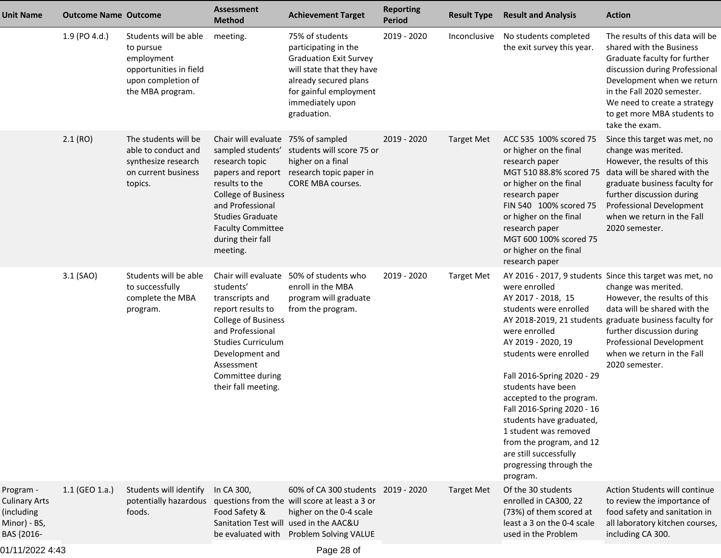| 1.9 (PO 4.d.)<br>Students will be able<br>75% of students<br>2019 - 2020<br>meeting.<br>Inconclusive<br>participating in the<br>to pursue                                                                                                                                                                                                                                                                                                                                                                     | No students completed<br>the exit survey this year.                                                                                                                                                                                                                                                                                                                                            | The results of this data will be<br>shared with the Business<br>Graduate faculty for further                                                                                                                                                                                                                        |
|---------------------------------------------------------------------------------------------------------------------------------------------------------------------------------------------------------------------------------------------------------------------------------------------------------------------------------------------------------------------------------------------------------------------------------------------------------------------------------------------------------------|------------------------------------------------------------------------------------------------------------------------------------------------------------------------------------------------------------------------------------------------------------------------------------------------------------------------------------------------------------------------------------------------|---------------------------------------------------------------------------------------------------------------------------------------------------------------------------------------------------------------------------------------------------------------------------------------------------------------------|
| employment<br><b>Graduation Exit Survey</b><br>opportunities in field<br>will state that they have<br>upon completion of<br>already secured plans<br>for gainful employment<br>the MBA program.<br>immediately upon<br>graduation.                                                                                                                                                                                                                                                                            |                                                                                                                                                                                                                                                                                                                                                                                                | discussion during Professional<br>Development when we return<br>in the Fall 2020 semester.<br>We need to create a strategy<br>to get more MBA students to<br>take the exam.                                                                                                                                         |
| 2.1(RO)<br>The students will be<br>Chair will evaluate 75% of sampled<br>2019 - 2020<br><b>Target Met</b><br>sampled students' students will score 75 or<br>able to conduct and<br>research topic<br>synthesize research<br>higher on a final<br>on current business<br>papers and report research topic paper in<br>results to the<br>CORE MBA courses.<br>topics.<br><b>College of Business</b><br>and Professional<br><b>Studies Graduate</b><br><b>Faculty Committee</b><br>during their fall<br>meeting. | ACC 535 100% scored 75<br>or higher on the final<br>research paper<br>or higher on the final<br>research paper<br>FIN 540 100% scored 75<br>or higher on the final<br>research paper<br>MGT 600 100% scored 75<br>or higher on the final<br>research paper                                                                                                                                     | Since this target was met, no<br>change was merited.<br>However, the results of this<br>MGT 510 88.8% scored 75 data will be shared with the<br>graduate business faculty for<br>further discussion during<br>Professional Development<br>when we return in the Fall<br>2020 semester.                              |
| 3.1 (SAO)<br>Students will be able<br>Chair will evaluate<br>50% of students who<br>2019 - 2020<br><b>Target Met</b><br>students'<br>enroll in the MBA<br>to successfully<br>program will graduate<br>complete the MBA<br>transcripts and<br>from the program.<br>report results to<br>program.<br>College of Business<br>and Professional<br><b>Studies Curriculum</b><br>Development and<br>Assessment<br>Committee during<br>their fall meeting.                                                           | were enrolled<br>AY 2017 - 2018, 15<br>students were enrolled<br>were enrolled<br>AY 2019 - 2020, 19<br>students were enrolled<br>Fall 2016-Spring 2020 - 29<br>students have been<br>accepted to the program.<br>Fall 2016-Spring 2020 - 16<br>students have graduated,<br>1 student was removed<br>from the program, and 12<br>are still successfully<br>progressing through the<br>program. | AY 2016 - 2017, 9 students Since this target was met, no<br>change was merited.<br>However, the results of this<br>data will be shared with the<br>AY 2018-2019, 21 students graduate business faculty for<br>further discussion during<br>Professional Development<br>when we return in the Fall<br>2020 semester. |
| 1.1 (GEO 1.a.)<br>Students will identify<br>In CA 300,<br>60% of CA 300 students 2019 - 2020<br>Program -<br><b>Target Met</b><br>questions from the will score at least a 3 or<br><b>Culinary Arts</b><br>potentially hazardous<br>higher on the 0-4 scale<br>foods.<br>Food Safety &<br>(including<br>Sanitation Test will used in the AAC&U<br>Minor) - BS,<br>BAS {2016-<br>be evaluated with<br>Problem Solving VALUE                                                                                    | Of the 30 students<br>enrolled in CA300, 22<br>(73%) of them scored at<br>least a 3 on the 0-4 scale<br>used in the Problem                                                                                                                                                                                                                                                                    | Action Students will continue<br>to review the importance of<br>food safety and sanitation in<br>all laboratory kitchen courses,<br>including CA 300.                                                                                                                                                               |

01/11/2022 4:43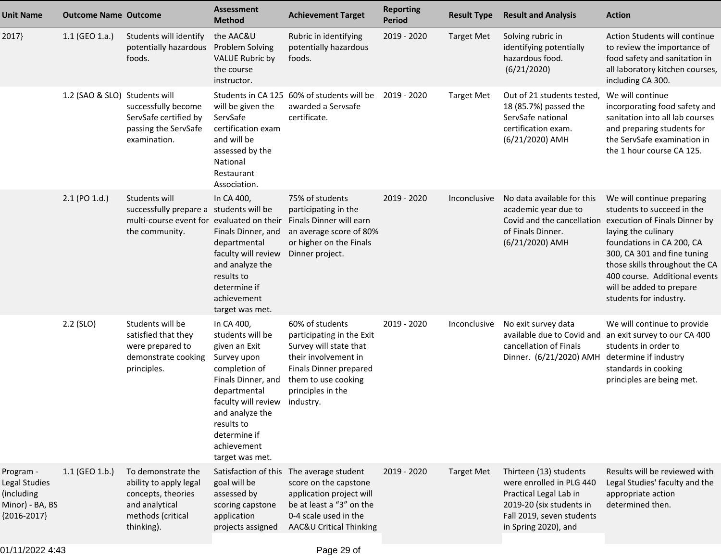| <b>Unit Name</b>                                                             | <b>Outcome Name Outcome</b>   |                                                                                                                         | <b>Assessment</b><br><b>Method</b>                                                                                                                                                                                              | <b>Achievement Target</b>                                                                                                                                                         | <b>Reporting</b><br><b>Period</b> | <b>Result Type</b> | <b>Result and Analysis</b>                                                                                                                                    | <b>Action</b>                                                                                                                                                                                                                                                                                         |
|------------------------------------------------------------------------------|-------------------------------|-------------------------------------------------------------------------------------------------------------------------|---------------------------------------------------------------------------------------------------------------------------------------------------------------------------------------------------------------------------------|-----------------------------------------------------------------------------------------------------------------------------------------------------------------------------------|-----------------------------------|--------------------|---------------------------------------------------------------------------------------------------------------------------------------------------------------|-------------------------------------------------------------------------------------------------------------------------------------------------------------------------------------------------------------------------------------------------------------------------------------------------------|
| 2017}                                                                        | $1.1$ (GEO 1.a.)              | Students will identify<br>potentially hazardous<br>foods.                                                               | the AAC&U<br><b>Problem Solving</b><br><b>VALUE Rubric by</b><br>the course<br>instructor.                                                                                                                                      | Rubric in identifying<br>potentially hazardous<br>foods.                                                                                                                          | 2019 - 2020                       | <b>Target Met</b>  | Solving rubric in<br>identifying potentially<br>hazardous food.<br>(6/21/2020)                                                                                | Action Students will continue<br>to review the importance of<br>food safety and sanitation in<br>all laboratory kitchen courses,<br>including CA 300.                                                                                                                                                 |
|                                                                              | 1.2 (SAO & SLO) Students will | successfully become<br>ServSafe certified by<br>passing the ServSafe<br>examination.                                    | will be given the<br>ServSafe<br>certification exam<br>and will be<br>assessed by the<br>National<br>Restaurant<br>Association.                                                                                                 | Students in CA 125 60% of students will be<br>awarded a Servsafe<br>certificate.                                                                                                  | 2019 - 2020                       | <b>Target Met</b>  | Out of 21 students tested,<br>18 (85.7%) passed the<br>ServSafe national<br>certification exam.<br>(6/21/2020) AMH                                            | We will continue<br>incorporating food safety and<br>sanitation into all lab courses<br>and preparing students for<br>the ServSafe examination in<br>the 1 hour course CA 125.                                                                                                                        |
|                                                                              | 2.1 (PO 1.d.)                 | Students will<br>successfully prepare a students will be<br>multi-course event for evaluated on their<br>the community. | In CA 400,<br>Finals Dinner, and<br>departmental<br>faculty will review<br>and analyze the<br>results to<br>determine if<br>achievement<br>target was met.                                                                      | 75% of students<br>participating in the<br>Finals Dinner will earn<br>an average score of 80%<br>or higher on the Finals<br>Dinner project.                                       | 2019 - 2020                       | Inconclusive       | No data available for this<br>academic year due to<br>Covid and the cancellation<br>of Finals Dinner.<br>(6/21/2020) AMH                                      | We will continue preparing<br>students to succeed in the<br>execution of Finals Dinner by<br>laying the culinary<br>foundations in CA 200, CA<br>300, CA 301 and fine tuning<br>those skills throughout the CA<br>400 course. Additional events<br>will be added to prepare<br>students for industry. |
|                                                                              | 2.2 (SLO)                     | Students will be<br>satisfied that they<br>were prepared to<br>demonstrate cooking<br>principles.                       | In CA 400,<br>students will be<br>given an Exit<br>Survey upon<br>completion of<br>Finals Dinner, and<br>departmental<br>faculty will review<br>and analyze the<br>results to<br>determine if<br>achievement<br>target was met. | 60% of students<br>participating in the Exit<br>Survey will state that<br>their involvement in<br>Finals Dinner prepared<br>them to use cooking<br>principles in the<br>industry. | 2019 - 2020                       | Inconclusive       | No exit survey data<br>cancellation of Finals<br>Dinner. (6/21/2020) AMH determine if industry                                                                | We will continue to provide<br>available due to Covid and an exit survey to our CA 400<br>students in order to<br>standards in cooking<br>principles are being met.                                                                                                                                   |
| Program -<br>Legal Studies<br>(including<br>Minor) - BA, BS<br>${2016-2017}$ | 1.1 (GEO 1.b.)                | To demonstrate the<br>ability to apply legal<br>concepts, theories<br>and analytical<br>methods (critical<br>thinking). | Satisfaction of this<br>goal will be<br>assessed by<br>scoring capstone<br>application<br>projects assigned                                                                                                                     | The average student<br>score on the capstone<br>application project will<br>be at least a "3" on the<br>0-4 scale used in the<br>AAC&U Critical Thinking                          | 2019 - 2020                       | <b>Target Met</b>  | Thirteen (13) students<br>were enrolled in PLG 440<br>Practical Legal Lab in<br>2019-20 (six students in<br>Fall 2019, seven students<br>in Spring 2020), and | Results will be reviewed with<br>Legal Studies' faculty and the<br>appropriate action<br>determined then.                                                                                                                                                                                             |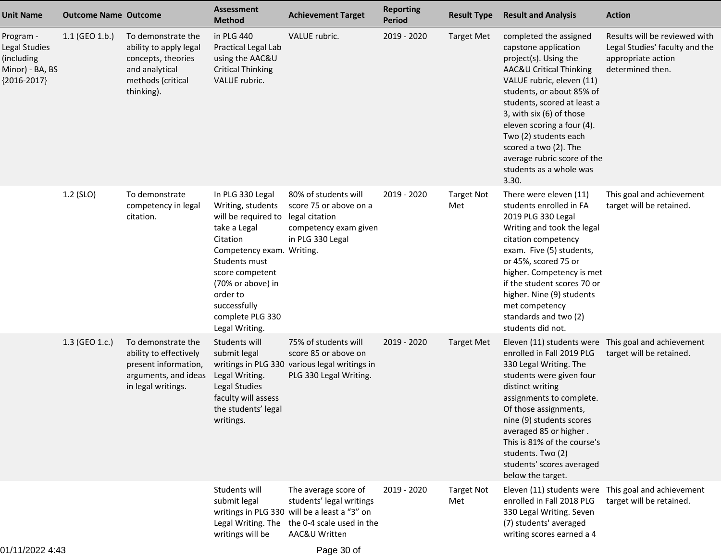| <b>Unit Name</b>                                                             | <b>Outcome Name Outcome</b> |                                                                                                                         | <b>Assessment</b><br><b>Method</b>                                                                                                                                                                                                               | <b>Achievement Target</b>                                                                                                                      | <b>Reporting</b><br><b>Period</b> | <b>Result Type</b>       | <b>Result and Analysis</b>                                                                                                                                                                                                                                                                                                                                                 | <b>Action</b>                                                                                             |
|------------------------------------------------------------------------------|-----------------------------|-------------------------------------------------------------------------------------------------------------------------|--------------------------------------------------------------------------------------------------------------------------------------------------------------------------------------------------------------------------------------------------|------------------------------------------------------------------------------------------------------------------------------------------------|-----------------------------------|--------------------------|----------------------------------------------------------------------------------------------------------------------------------------------------------------------------------------------------------------------------------------------------------------------------------------------------------------------------------------------------------------------------|-----------------------------------------------------------------------------------------------------------|
| Program -<br>Legal Studies<br>(including<br>Minor) - BA, BS<br>${2016-2017}$ | $1.1$ (GEO 1.b.)            | To demonstrate the<br>ability to apply legal<br>concepts, theories<br>and analytical<br>methods (critical<br>thinking). | in PLG 440<br>Practical Legal Lab<br>using the AAC&U<br><b>Critical Thinking</b><br>VALUE rubric.                                                                                                                                                | VALUE rubric.                                                                                                                                  | 2019 - 2020                       | <b>Target Met</b>        | completed the assigned<br>capstone application<br>project(s). Using the<br>AAC&U Critical Thinking<br>VALUE rubric, eleven (11)<br>students, or about 85% of<br>students, scored at least a<br>3, with six (6) of those<br>eleven scoring a four (4).<br>Two (2) students each<br>scored a two (2). The<br>average rubric score of the<br>students as a whole was<br>3.30. | Results will be reviewed with<br>Legal Studies' faculty and the<br>appropriate action<br>determined then. |
|                                                                              | 1.2 (SLO)                   | To demonstrate<br>competency in legal<br>citation.                                                                      | In PLG 330 Legal<br>Writing, students<br>will be required to<br>take a Legal<br>Citation<br>Competency exam. Writing.<br>Students must<br>score competent<br>(70% or above) in<br>order to<br>successfully<br>complete PLG 330<br>Legal Writing. | 80% of students will<br>score 75 or above on a<br>legal citation<br>competency exam given<br>in PLG 330 Legal                                  | 2019 - 2020                       | <b>Target Not</b><br>Met | There were eleven (11)<br>students enrolled in FA<br>2019 PLG 330 Legal<br>Writing and took the legal<br>citation competency<br>exam. Five (5) students,<br>or 45%, scored 75 or<br>higher. Competency is met<br>if the student scores 70 or<br>higher. Nine (9) students<br>met competency<br>standards and two (2)<br>students did not.                                  | This goal and achievement<br>target will be retained.                                                     |
|                                                                              | 1.3 (GEO 1.c.)              | To demonstrate the<br>ability to effectively<br>present information,<br>arguments, and ideas<br>in legal writings.      | Students will<br>submit legal<br>Legal Writing.<br><b>Legal Studies</b><br>faculty will assess<br>the students' legal<br>writings.                                                                                                               | 75% of students will<br>score 85 or above on<br>writings in PLG 330 various legal writings in<br>PLG 330 Legal Writing.                        | 2019 - 2020                       | <b>Target Met</b>        | enrolled in Fall 2019 PLG<br>330 Legal Writing. The<br>students were given four<br>distinct writing<br>assignments to complete.<br>Of those assignments,<br>nine (9) students scores<br>averaged 85 or higher.<br>This is 81% of the course's<br>students. Two (2)<br>students' scores averaged<br>below the target.                                                       | Eleven (11) students were This goal and achievement<br>target will be retained.                           |
|                                                                              |                             |                                                                                                                         | Students will<br>submit legal<br>Legal Writing. The<br>writings will be                                                                                                                                                                          | The average score of<br>students' legal writings<br>writings in PLG 330 will be a least a "3" on<br>the 0-4 scale used in the<br>AAC&U Written | 2019 - 2020                       | <b>Target Not</b><br>Met | Eleven (11) students were This goal and achievement<br>enrolled in Fall 2018 PLG<br>330 Legal Writing. Seven<br>(7) students' averaged<br>writing scores earned a 4                                                                                                                                                                                                        | target will be retained.                                                                                  |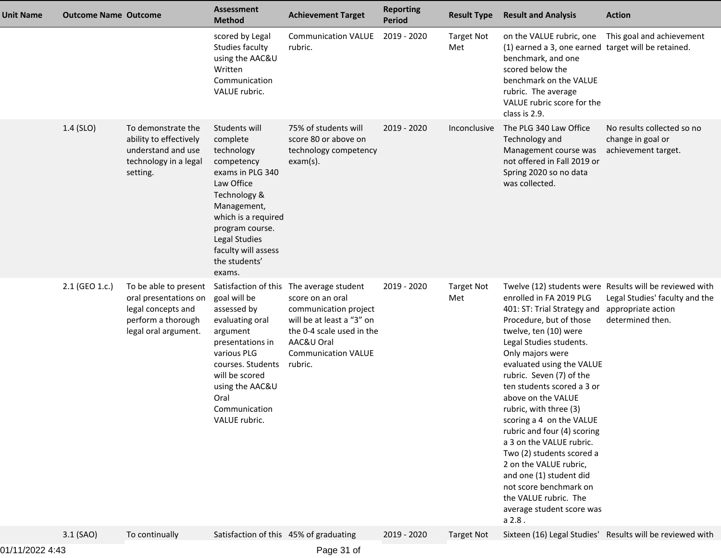| <b>Unit Name</b> | <b>Outcome Name Outcome</b> |                                                                                                                    | <b>Assessment</b><br><b>Method</b>                                                                                                                                                                                                  | <b>Achievement Target</b>                                                                                                                                                                              | <b>Reporting</b><br><b>Period</b> | <b>Result Type</b>       | <b>Result and Analysis</b>                                                                                                                                                                                                                                                                                                                                                                                                                                                                                                                                                             | <b>Action</b>                                                                                                 |
|------------------|-----------------------------|--------------------------------------------------------------------------------------------------------------------|-------------------------------------------------------------------------------------------------------------------------------------------------------------------------------------------------------------------------------------|--------------------------------------------------------------------------------------------------------------------------------------------------------------------------------------------------------|-----------------------------------|--------------------------|----------------------------------------------------------------------------------------------------------------------------------------------------------------------------------------------------------------------------------------------------------------------------------------------------------------------------------------------------------------------------------------------------------------------------------------------------------------------------------------------------------------------------------------------------------------------------------------|---------------------------------------------------------------------------------------------------------------|
|                  |                             |                                                                                                                    | scored by Legal<br>Studies faculty<br>using the AAC&U<br>Written<br>Communication<br>VALUE rubric.                                                                                                                                  | <b>Communication VALUE</b><br>rubric.                                                                                                                                                                  | 2019 - 2020                       | <b>Target Not</b><br>Met | on the VALUE rubric, one This goal and achievement<br>(1) earned a 3, one earned target will be retained.<br>benchmark, and one<br>scored below the<br>benchmark on the VALUE<br>rubric. The average<br>VALUE rubric score for the<br>class is 2.9.                                                                                                                                                                                                                                                                                                                                    |                                                                                                               |
|                  | $1.4$ (SLO)                 | To demonstrate the<br>ability to effectively<br>understand and use<br>technology in a legal<br>setting.            | Students will<br>complete<br>technology<br>competency<br>exams in PLG 340<br>Law Office<br>Technology &<br>Management,<br>which is a required<br>program course.<br>Legal Studies<br>faculty will assess<br>the students'<br>exams. | 75% of students will<br>score 80 or above on<br>technology competency<br>$exam(s)$ .                                                                                                                   | 2019 - 2020                       | Inconclusive             | The PLG 340 Law Office<br>Technology and<br>Management course was<br>not offered in Fall 2019 or<br>Spring 2020 so no data<br>was collected.                                                                                                                                                                                                                                                                                                                                                                                                                                           | No results collected so no<br>change in goal or<br>achievement target.                                        |
|                  | 2.1 (GEO 1.c.)              | To be able to present<br>oral presentations on<br>legal concepts and<br>perform a thorough<br>legal oral argument. | goal will be<br>assessed by<br>evaluating oral<br>argument<br>presentations in<br>various PLG<br>courses. Students<br>will be scored<br>using the AAC&U<br>Oral<br>Communication<br>VALUE rubric.                                   | Satisfaction of this The average student<br>score on an oral<br>communication project<br>will be at least a "3" on<br>the 0-4 scale used in the<br>AAC&U Oral<br><b>Communication VALUE</b><br>rubric. | 2019 - 2020                       | <b>Target Not</b><br>Met | enrolled in FA 2019 PLG<br>401: ST: Trial Strategy and appropriate action<br>Procedure, but of those<br>twelve, ten (10) were<br>Legal Studies students.<br>Only majors were<br>evaluated using the VALUE<br>rubric. Seven (7) of the<br>ten students scored a 3 or<br>above on the VALUE<br>rubric, with three (3)<br>scoring a 4 on the VALUE<br>rubric and four (4) scoring<br>a 3 on the VALUE rubric.<br>Two (2) students scored a<br>2 on the VALUE rubric,<br>and one (1) student did<br>not score benchmark on<br>the VALUE rubric. The<br>average student score was<br>a 2.8. | Twelve (12) students were Results will be reviewed with<br>Legal Studies' faculty and the<br>determined then. |
|                  | $3.1$ (SAO)                 | To continually                                                                                                     | Satisfaction of this 45% of graduating                                                                                                                                                                                              |                                                                                                                                                                                                        | 2019 - 2020                       | <b>Target Not</b>        |                                                                                                                                                                                                                                                                                                                                                                                                                                                                                                                                                                                        | Sixteen (16) Legal Studies' Results will be reviewed with                                                     |

01/11/2022 4:43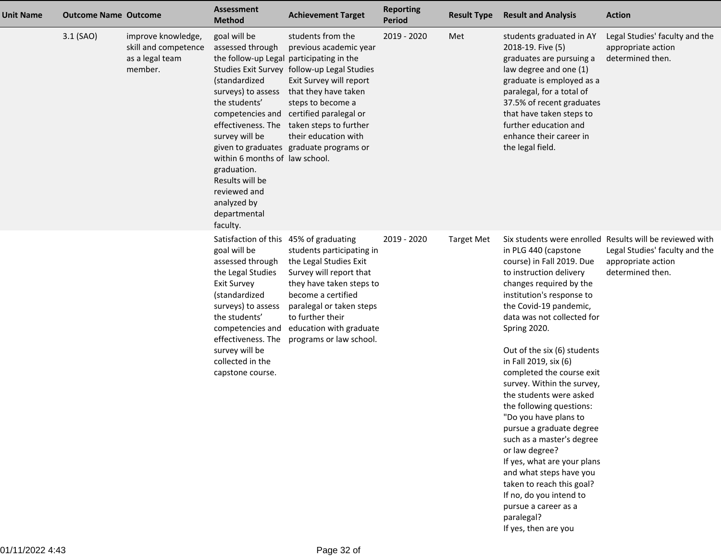| <b>Unit Name</b> | <b>Outcome Name Outcome</b> |                                                                          | <b>Assessment</b><br><b>Method</b>                                                                                                                                                                                                                                                                          | <b>Achievement Target</b>                                                                                                                                                                                                                                                                                  | <b>Reporting</b><br><b>Period</b> | <b>Result Type</b> | <b>Result and Analysis</b>                                                                                                                                                                                                                                                                                                                                                                                                                                                                                                                                                                                                                                                 | <b>Action</b>                                                                                                                        |
|------------------|-----------------------------|--------------------------------------------------------------------------|-------------------------------------------------------------------------------------------------------------------------------------------------------------------------------------------------------------------------------------------------------------------------------------------------------------|------------------------------------------------------------------------------------------------------------------------------------------------------------------------------------------------------------------------------------------------------------------------------------------------------------|-----------------------------------|--------------------|----------------------------------------------------------------------------------------------------------------------------------------------------------------------------------------------------------------------------------------------------------------------------------------------------------------------------------------------------------------------------------------------------------------------------------------------------------------------------------------------------------------------------------------------------------------------------------------------------------------------------------------------------------------------------|--------------------------------------------------------------------------------------------------------------------------------------|
|                  | 3.1 (SAO)                   | improve knowledge,<br>skill and competence<br>as a legal team<br>member. | goal will be<br>assessed through<br>the follow-up Legal participating in the<br>(standardized<br>surveys) to assess<br>the students'<br>effectiveness. The<br>survey will be<br>within 6 months of law school.<br>graduation.<br>Results will be<br>reviewed and<br>analyzed by<br>departmental<br>faculty. | students from the<br>previous academic year<br>Studies Exit Survey follow-up Legal Studies<br>Exit Survey will report<br>that they have taken<br>steps to become a<br>competencies and certified paralegal or<br>taken steps to further<br>their education with<br>given to graduates graduate programs or | 2019 - 2020                       | Met                | students graduated in AY<br>2018-19. Five (5)<br>graduates are pursuing a<br>law degree and one (1)<br>graduate is employed as a<br>paralegal, for a total of<br>37.5% of recent graduates<br>that have taken steps to<br>further education and<br>enhance their career in<br>the legal field.                                                                                                                                                                                                                                                                                                                                                                             | Legal Studies' faculty and the<br>appropriate action<br>determined then.                                                             |
|                  |                             |                                                                          | Satisfaction of this 45% of graduating<br>goal will be<br>assessed through<br>the Legal Studies<br><b>Exit Survey</b><br>(standardized<br>surveys) to assess<br>the students'<br>effectiveness. The<br>survey will be<br>collected in the<br>capstone course.                                               | students participating in<br>the Legal Studies Exit<br>Survey will report that<br>they have taken steps to<br>become a certified<br>paralegal or taken steps<br>to further their<br>competencies and education with graduate<br>programs or law school.                                                    | 2019 - 2020                       | <b>Target Met</b>  | in PLG 440 (capstone<br>course) in Fall 2019. Due<br>to instruction delivery<br>changes required by the<br>institution's response to<br>the Covid-19 pandemic,<br>data was not collected for<br>Spring 2020.<br>Out of the six (6) students<br>in Fall 2019, six (6)<br>completed the course exit<br>survey. Within the survey,<br>the students were asked<br>the following questions:<br>"Do you have plans to<br>pursue a graduate degree<br>such as a master's degree<br>or law degree?<br>If yes, what are your plans<br>and what steps have you<br>taken to reach this goal?<br>If no, do you intend to<br>pursue a career as a<br>paralegal?<br>If yes, then are you | Six students were enrolled Results will be reviewed with<br>Legal Studies' faculty and the<br>appropriate action<br>determined then. |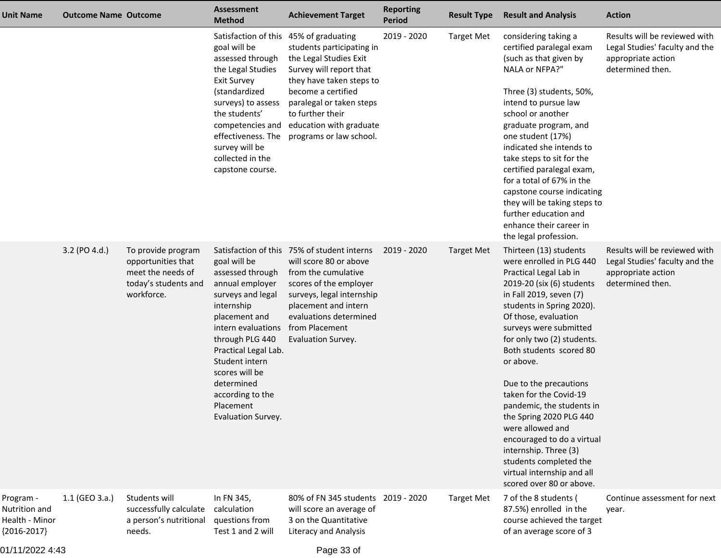| <b>Unit Name</b>                                              | <b>Outcome Name Outcome</b> |                                                                                                     | <b>Assessment</b><br><b>Method</b>                                                                                                                                                                                                                                                | <b>Achievement Target</b>                                                                                                                                                                                                                     | <b>Reporting</b><br>Period | <b>Result Type</b> | <b>Result and Analysis</b>                                                                                                                                                                                                                                                                                                                                                                                                                                                                                                                                           | <b>Action</b>                                                                                             |
|---------------------------------------------------------------|-----------------------------|-----------------------------------------------------------------------------------------------------|-----------------------------------------------------------------------------------------------------------------------------------------------------------------------------------------------------------------------------------------------------------------------------------|-----------------------------------------------------------------------------------------------------------------------------------------------------------------------------------------------------------------------------------------------|----------------------------|--------------------|----------------------------------------------------------------------------------------------------------------------------------------------------------------------------------------------------------------------------------------------------------------------------------------------------------------------------------------------------------------------------------------------------------------------------------------------------------------------------------------------------------------------------------------------------------------------|-----------------------------------------------------------------------------------------------------------|
|                                                               |                             |                                                                                                     | Satisfaction of this 45% of graduating<br>goal will be<br>assessed through<br>the Legal Studies<br><b>Exit Survey</b><br>(standardized<br>surveys) to assess<br>the students'<br>competencies and<br>effectiveness. The<br>survey will be<br>collected in the<br>capstone course. | students participating in<br>the Legal Studies Exit<br>Survey will report that<br>they have taken steps to<br>become a certified<br>paralegal or taken steps<br>to further their<br>education with graduate<br>programs or law school.        | 2019 - 2020                | <b>Target Met</b>  | considering taking a<br>certified paralegal exam<br>(such as that given by<br>NALA or NFPA?"<br>Three (3) students, 50%,<br>intend to pursue law<br>school or another<br>graduate program, and<br>one student (17%)<br>indicated she intends to<br>take steps to sit for the<br>certified paralegal exam,<br>for a total of 67% in the<br>capstone course indicating<br>they will be taking steps to<br>further education and<br>enhance their career in<br>the legal profession.                                                                                    | Results will be reviewed with<br>Legal Studies' faculty and the<br>appropriate action<br>determined then. |
|                                                               | 3.2 (PO 4.d.)               | To provide program<br>opportunities that<br>meet the needs of<br>today's students and<br>workforce. | goal will be<br>assessed through<br>annual employer<br>surveys and legal<br>internship<br>placement and<br>intern evaluations<br>through PLG 440<br>Practical Legal Lab.<br>Student intern<br>scores will be<br>determined<br>according to the<br>Placement<br>Evaluation Survey. | Satisfaction of this 75% of student interns<br>will score 80 or above<br>from the cumulative<br>scores of the employer<br>surveys, legal internship<br>placement and intern<br>evaluations determined<br>from Placement<br>Evaluation Survey. | 2019 - 2020                | <b>Target Met</b>  | Thirteen (13) students<br>were enrolled in PLG 440<br>Practical Legal Lab in<br>2019-20 (six (6) students<br>in Fall 2019, seven (7)<br>students in Spring 2020).<br>Of those, evaluation<br>surveys were submitted<br>for only two (2) students.<br>Both students scored 80<br>or above.<br>Due to the precautions<br>taken for the Covid-19<br>pandemic, the students in<br>the Spring 2020 PLG 440<br>were allowed and<br>encouraged to do a virtual<br>internship. Three (3)<br>students completed the<br>virtual internship and all<br>scored over 80 or above. | Results will be reviewed with<br>Legal Studies' faculty and the<br>appropriate action<br>determined then. |
| Program -<br>Nutrition and<br>Health - Minor<br>${2016-2017}$ | 1.1 (GEO 3.a.)              | Students will<br>successfully calculate<br>a person's nutritional<br>needs.                         | In FN 345,<br>calculation<br>questions from<br>Test 1 and 2 will                                                                                                                                                                                                                  | 80% of FN 345 students 2019 - 2020<br>will score an average of<br>3 on the Quantitative<br><b>Literacy and Analysis</b>                                                                                                                       |                            | <b>Target Met</b>  | 7 of the 8 students (<br>87.5%) enrolled in the<br>course achieved the target<br>of an average score of 3                                                                                                                                                                                                                                                                                                                                                                                                                                                            | Continue assessment for next<br>year.                                                                     |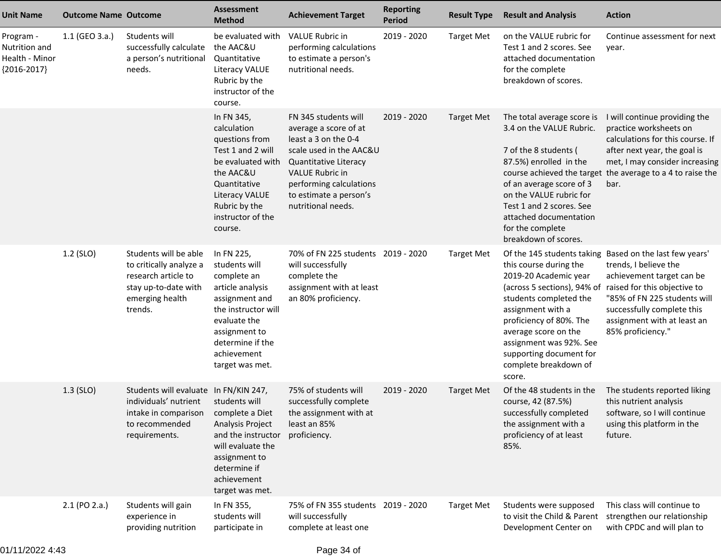| <b>Unit Name</b>                                              | <b>Outcome Name Outcome</b> |                                                                                                                                                         | <b>Assessment</b><br><b>Method</b>                                                                                                                                                             | <b>Achievement Target</b>                                                                                                                                                                                               | <b>Reporting</b><br><b>Period</b> | <b>Result Type</b> | <b>Result and Analysis</b>                                                                                                                                                                                                                                         | <b>Action</b>                                                                                                                                                                                                                                                                               |
|---------------------------------------------------------------|-----------------------------|---------------------------------------------------------------------------------------------------------------------------------------------------------|------------------------------------------------------------------------------------------------------------------------------------------------------------------------------------------------|-------------------------------------------------------------------------------------------------------------------------------------------------------------------------------------------------------------------------|-----------------------------------|--------------------|--------------------------------------------------------------------------------------------------------------------------------------------------------------------------------------------------------------------------------------------------------------------|---------------------------------------------------------------------------------------------------------------------------------------------------------------------------------------------------------------------------------------------------------------------------------------------|
| Program -<br>Nutrition and<br>Health - Minor<br>${2016-2017}$ | 1.1 (GEO 3.a.)              | Students will<br>successfully calculate<br>a person's nutritional<br>needs.                                                                             | be evaluated with<br>the AAC&U<br>Quantitative<br>Literacy VALUE<br>Rubric by the<br>instructor of the<br>course.                                                                              | <b>VALUE Rubric in</b><br>performing calculations<br>to estimate a person's<br>nutritional needs.                                                                                                                       | 2019 - 2020                       | <b>Target Met</b>  | on the VALUE rubric for<br>Test 1 and 2 scores. See<br>attached documentation<br>for the complete<br>breakdown of scores.                                                                                                                                          | Continue assessment for next<br>year.                                                                                                                                                                                                                                                       |
|                                                               |                             |                                                                                                                                                         | In FN 345,<br>calculation<br>questions from<br>Test 1 and 2 will<br>be evaluated with<br>the AAC&U<br>Quantitative<br><b>Literacy VALUE</b><br>Rubric by the<br>instructor of the<br>course.   | FN 345 students will<br>average a score of at<br>least a 3 on the 0-4<br>scale used in the AAC&U<br>Quantitative Literacy<br>VALUE Rubric in<br>performing calculations<br>to estimate a person's<br>nutritional needs. | $2019 - 2020$                     | Target Met         | The total average score is<br>3.4 on the VALUE Rubric.<br>7 of the 8 students (<br>87.5%) enrolled in the<br>of an average score of 3<br>on the VALUE rubric for<br>Test 1 and 2 scores. See<br>attached documentation<br>for the complete<br>breakdown of scores. | I will continue providing the<br>practice worksheets on<br>calculations for this course. If<br>after next year, the goal is<br>met, I may consider increasing<br>course achieved the target the average to a 4 to raise the<br>bar.                                                         |
|                                                               | 1.2 (SLO)                   | Students will be able<br>to critically analyze a<br>research article to<br>stay up-to-date with<br>emerging health<br>trends.                           | In FN 225,<br>students will<br>complete an<br>article analysis<br>assignment and<br>the instructor will<br>evaluate the<br>assignment to<br>determine if the<br>achievement<br>target was met. | 70% of FN 225 students 2019 - 2020<br>will successfully<br>complete the<br>assignment with at least<br>an 80% proficiency.                                                                                              |                                   | <b>Target Met</b>  | this course during the<br>2019-20 Academic year<br>students completed the<br>assignment with a<br>proficiency of 80%. The<br>average score on the<br>assignment was 92%. See<br>supporting document for<br>complete breakdown of<br>score.                         | Of the 145 students taking Based on the last few years'<br>trends, I believe the<br>achievement target can be<br>(across 5 sections), 94% of raised for this objective to<br>"85% of FN 225 students will<br>successfully complete this<br>assignment with at least an<br>85% proficiency." |
|                                                               | $1.3$ (SLO)                 | Students will evaluate In FN/KIN 247,<br>individuals' nutrient students will<br>intake in comparison complete a Diet<br>to recommended<br>requirements. | Analysis Project<br>and the instructor<br>will evaluate the<br>assignment to<br>determine if<br>achievement<br>target was met.                                                                 | 75% of students will<br>successfully complete<br>the assignment with at<br>least an 85%<br>proficiency.                                                                                                                 | 2019 - 2020                       | <b>Target Met</b>  | Of the 48 students in the<br>course, 42 (87.5%)<br>successfully completed<br>the assignment with a<br>proficiency of at least<br>85%.                                                                                                                              | The students reported liking<br>this nutrient analysis<br>software, so I will continue<br>using this platform in the<br>future.                                                                                                                                                             |
|                                                               | 2.1 (PO 2.a.)               | Students will gain<br>experience in<br>providing nutrition                                                                                              | In FN 355,<br>students will<br>participate in                                                                                                                                                  | 75% of FN 355 students 2019 - 2020<br>will successfully<br>complete at least one                                                                                                                                        |                                   | <b>Target Met</b>  | Students were supposed<br>Development Center on                                                                                                                                                                                                                    | This class will continue to<br>to visit the Child & Parent strengthen our relationship<br>with CPDC and will plan to                                                                                                                                                                        |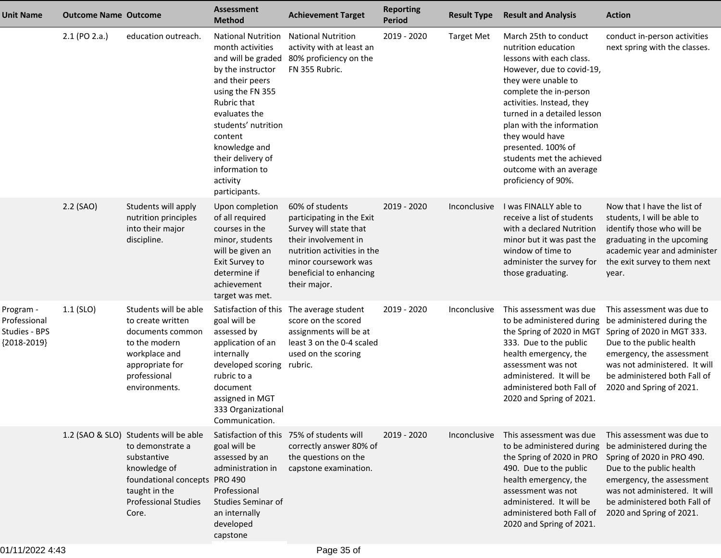| <b>Unit Name</b>                                            | <b>Outcome Name Outcome</b> |                                                                                                                                                                                    | <b>Assessment</b><br><b>Method</b>                                                                                                                                                                                                                                                     | <b>Achievement Target</b>                                                                                                                                                                        | <b>Reporting</b><br><b>Period</b> | <b>Result Type</b> | <b>Result and Analysis</b>                                                                                                                                                                                                                                                                                                                                              | <b>Action</b>                                                                                                                                                                                                                                |
|-------------------------------------------------------------|-----------------------------|------------------------------------------------------------------------------------------------------------------------------------------------------------------------------------|----------------------------------------------------------------------------------------------------------------------------------------------------------------------------------------------------------------------------------------------------------------------------------------|--------------------------------------------------------------------------------------------------------------------------------------------------------------------------------------------------|-----------------------------------|--------------------|-------------------------------------------------------------------------------------------------------------------------------------------------------------------------------------------------------------------------------------------------------------------------------------------------------------------------------------------------------------------------|----------------------------------------------------------------------------------------------------------------------------------------------------------------------------------------------------------------------------------------------|
|                                                             | 2.1 (PO 2.a.)               | education outreach.                                                                                                                                                                | <b>National Nutrition</b><br>month activities<br>and will be graded<br>by the instructor<br>and their peers<br>using the FN 355<br>Rubric that<br>evaluates the<br>students' nutrition<br>content<br>knowledge and<br>their delivery of<br>information to<br>activity<br>participants. | <b>National Nutrition</b><br>activity with at least an<br>80% proficiency on the<br>FN 355 Rubric.                                                                                               | 2019 - 2020                       | <b>Target Met</b>  | March 25th to conduct<br>nutrition education<br>lessons with each class.<br>However, due to covid-19,<br>they were unable to<br>complete the in-person<br>activities. Instead, they<br>turned in a detailed lesson<br>plan with the information<br>they would have<br>presented. 100% of<br>students met the achieved<br>outcome with an average<br>proficiency of 90%. | conduct in-person activities<br>next spring with the classes.                                                                                                                                                                                |
|                                                             | 2.2 (SAO)                   | Students will apply<br>nutrition principles<br>into their major<br>discipline.                                                                                                     | Upon completion<br>of all required<br>courses in the<br>minor, students<br>will be given an<br>Exit Survey to<br>determine if<br>achievement<br>target was met.                                                                                                                        | 60% of students<br>participating in the Exit<br>Survey will state that<br>their involvement in<br>nutrition activities in the<br>minor coursework was<br>beneficial to enhancing<br>their major. | 2019 - 2020                       | Inconclusive       | I was FINALLY able to<br>receive a list of students<br>with a declared Nutrition<br>minor but it was past the<br>window of time to<br>administer the survey for<br>those graduating.                                                                                                                                                                                    | Now that I have the list of<br>students, I will be able to<br>identify those who will be<br>graduating in the upcoming<br>academic year and administer<br>the exit survey to them next<br>year.                                              |
| Program -<br>Professional<br>Studies - BPS<br>${2018-2019}$ | $1.1$ (SLO)                 | Students will be able<br>to create written<br>documents common<br>to the modern<br>workplace and<br>appropriate for<br>professional<br>environments.                               | Satisfaction of this<br>goal will be<br>assessed by<br>application of an<br>internally<br>developed scoring rubric.<br>rubric to a<br>document<br>assigned in MGT<br>333 Organizational<br>Communication.                                                                              | The average student<br>score on the scored<br>assignments will be at<br>least 3 on the 0-4 scaled<br>used on the scoring                                                                         | 2019 - 2020                       | Inconclusive       | This assessment was due<br>to be administered during<br>the Spring of 2020 in MGT<br>333. Due to the public<br>health emergency, the<br>assessment was not<br>administered. It will be<br>administered both Fall of<br>2020 and Spring of 2021.                                                                                                                         | This assessment was due to<br>be administered during the<br>Spring of 2020 in MGT 333.<br>Due to the public health<br>emergency, the assessment<br>was not administered. It will<br>be administered both Fall of<br>2020 and Spring of 2021. |
|                                                             |                             | 1.2 (SAO & SLO) Students will be able<br>to demonstrate a<br>substantive<br>knowledge of<br>foundational concepts PRO 490<br>taught in the<br><b>Professional Studies</b><br>Core. | goal will be<br>assessed by an<br>administration in<br>Professional<br><b>Studies Seminar of</b><br>an internally<br>developed<br>capstone                                                                                                                                             | Satisfaction of this 75% of students will<br>correctly answer 80% of<br>the questions on the<br>capstone examination.                                                                            | 2019 - 2020                       | Inconclusive       | This assessment was due<br>to be administered during<br>the Spring of 2020 in PRO<br>490. Due to the public<br>health emergency, the<br>assessment was not<br>administered. It will be<br>administered both Fall of<br>2020 and Spring of 2021.                                                                                                                         | This assessment was due to<br>be administered during the<br>Spring of 2020 in PRO 490.<br>Due to the public health<br>emergency, the assessment<br>was not administered. It will<br>be administered both Fall of<br>2020 and Spring of 2021. |